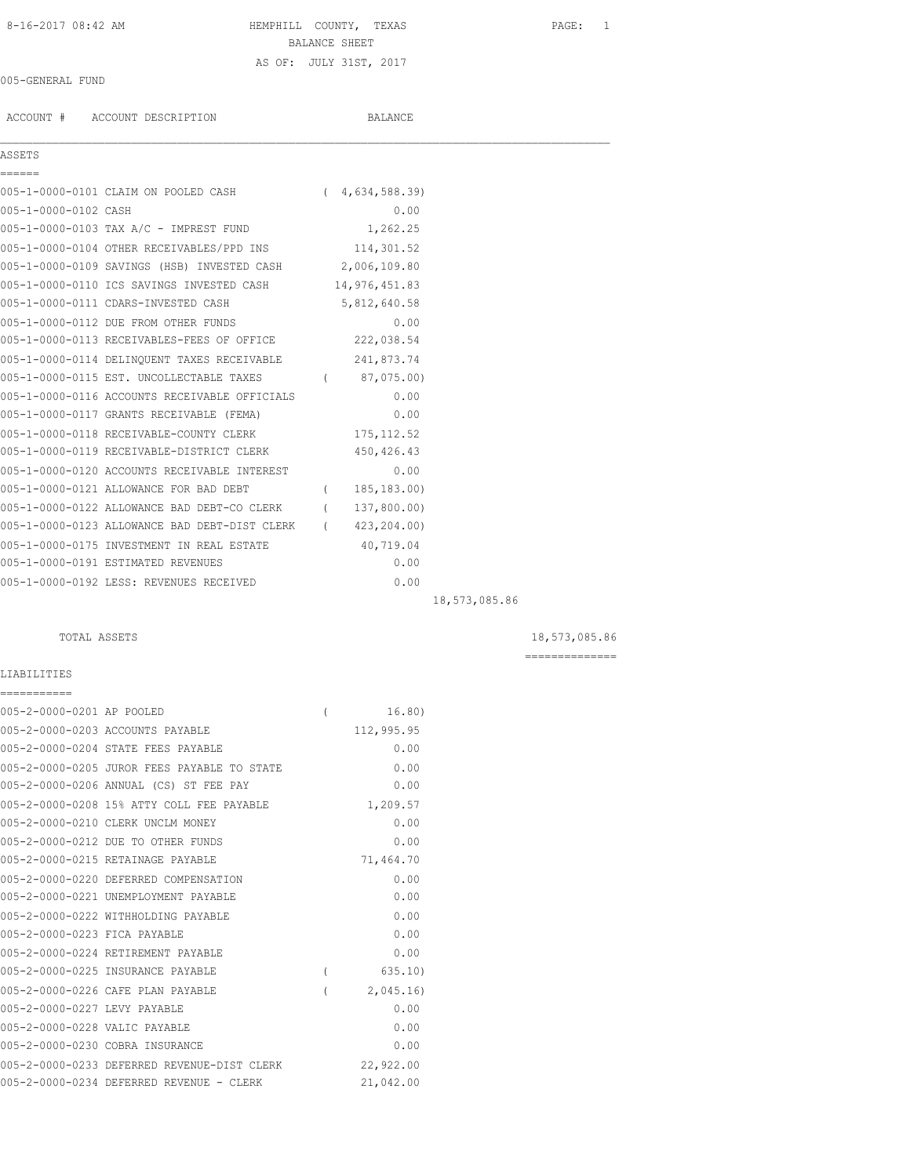# 8-16-2017 08:42 AM **HEMPHILL COUNTY, TEXAS** PAGE: 1 BALANCE SHEET AS OF: JULY 31ST, 2017

# 005-GENERAL FUND

ACCOUNT # ACCOUNT DESCRIPTION BALANCE

### **ASSETS** ======

005-1-0000-0101 CLAIM ON POOLED CASH ( 4,634,588.39)

 $\mathcal{L}_\mathcal{L} = \mathcal{L}_\mathcal{L}$ 

| 005-1-0000-0102 CASH |                                                            | 0.00           |               |
|----------------------|------------------------------------------------------------|----------------|---------------|
|                      | 005-1-0000-0103 TAX A/C - IMPREST FUND 1,262.25            |                |               |
|                      | 005-1-0000-0104 OTHER RECEIVABLES/PPD INS 114,301.52       |                |               |
|                      | 005-1-0000-0109 SAVINGS (HSB) INVESTED CASH 2,006,109.80   |                |               |
|                      | 005-1-0000-0110 ICS SAVINGS INVESTED CASH 14,976,451.83    |                |               |
|                      | 005-1-0000-0111 CDARS-INVESTED CASH                        | 5,812,640.58   |               |
|                      | 005-1-0000-0112 DUE FROM OTHER FUNDS                       | 0.00           |               |
|                      | 005-1-0000-0113 RECEIVABLES-FEES OF OFFICE 222,038.54      |                |               |
|                      | 005-1-0000-0114 DELINQUENT TAXES RECEIVABLE 241,873.74     |                |               |
|                      | 005-1-0000-0115 EST. UNCOLLECTABLE TAXES (87,075.00)       |                |               |
|                      | 005-1-0000-0116 ACCOUNTS RECEIVABLE OFFICIALS              | 0.00           |               |
|                      | 005-1-0000-0117 GRANTS RECEIVABLE (FEMA)                   | 0.00           |               |
|                      | 005-1-0000-0118 RECEIVABLE-COUNTY CLERK                    | 175, 112.52    |               |
|                      | 005-1-0000-0119 RECEIVABLE-DISTRICT CLERK 450,426.43       |                |               |
|                      | 005-1-0000-0120 ACCOUNTS RECEIVABLE INTEREST               | 0.00           |               |
|                      | 005-1-0000-0121 ALLOWANCE FOR BAD DEBT                     | (185, 183, 00) |               |
|                      | 005-1-0000-0122 ALLOWANCE BAD DEBT-CO CLERK (137,800.00)   |                |               |
|                      | 005-1-0000-0123 ALLOWANCE BAD DEBT-DIST CLERK (423,204.00) |                |               |
|                      | 005-1-0000-0175 INVESTMENT IN REAL ESTATE                  | 40,719.04      |               |
|                      | 005-1-0000-0191 ESTIMATED REVENUES                         | 0.00           |               |
|                      | 005-1-0000-0192 LESS: REVENUES RECEIVED                    | 0.00           |               |
|                      |                                                            |                | 18,573,085.86 |

TOTAL ASSETS 18,573,085.86 ==============

# LIABILITIES

| ===========                   |                                             |          |            |
|-------------------------------|---------------------------------------------|----------|------------|
| 005-2-0000-0201 AP POOLED     |                                             | $\left($ | 16.80)     |
|                               | 005-2-0000-0203 ACCOUNTS PAYABLE            |          | 112,995.95 |
|                               | 005-2-0000-0204 STATE FEES PAYABLE          |          | 0.00       |
|                               | 005-2-0000-0205 JUROR FEES PAYABLE TO STATE |          | 0.00       |
|                               | 005-2-0000-0206 ANNUAL (CS) ST FEE PAY      |          | 0.00       |
|                               | 005-2-0000-0208 15% ATTY COLL FEE PAYABLE   |          | 1,209.57   |
|                               | 005-2-0000-0210 CLERK UNCLM MONEY           |          | 0.00       |
|                               | 005-2-0000-0212 DUE TO OTHER FUNDS          |          | 0.00       |
|                               | 005-2-0000-0215 RETAINAGE PAYABLE           |          | 71,464.70  |
|                               | 005-2-0000-0220 DEFERRED COMPENSATION       |          | 0.00       |
|                               | 005-2-0000-0221 UNEMPLOYMENT PAYABLE        |          | 0.00       |
|                               | 005-2-0000-0222 WITHHOLDING PAYABLE         |          | 0.00       |
| 005-2-0000-0223 FICA PAYABLE  |                                             |          | 0.00       |
|                               | 005-2-0000-0224 RETIREMENT PAYABLE          |          | 0.00       |
|                               | 005-2-0000-0225 INSURANCE PAYABLE           | (        | 635.10     |
|                               | 005-2-0000-0226 CAFE PLAN PAYABLE           |          | 2,045.16   |
| 005-2-0000-0227 LEVY PAYABLE  |                                             |          | 0.00       |
| 005-2-0000-0228 VALIC PAYABLE |                                             |          | 0.00       |
|                               | 005-2-0000-0230 COBRA INSURANCE             |          | 0.00       |
|                               | 005-2-0000-0233 DEFERRED REVENUE-DIST CLERK |          | 22,922.00  |
|                               | 005-2-0000-0234 DEFERRED REVENUE - CLERK    |          | 21,042.00  |
|                               |                                             |          |            |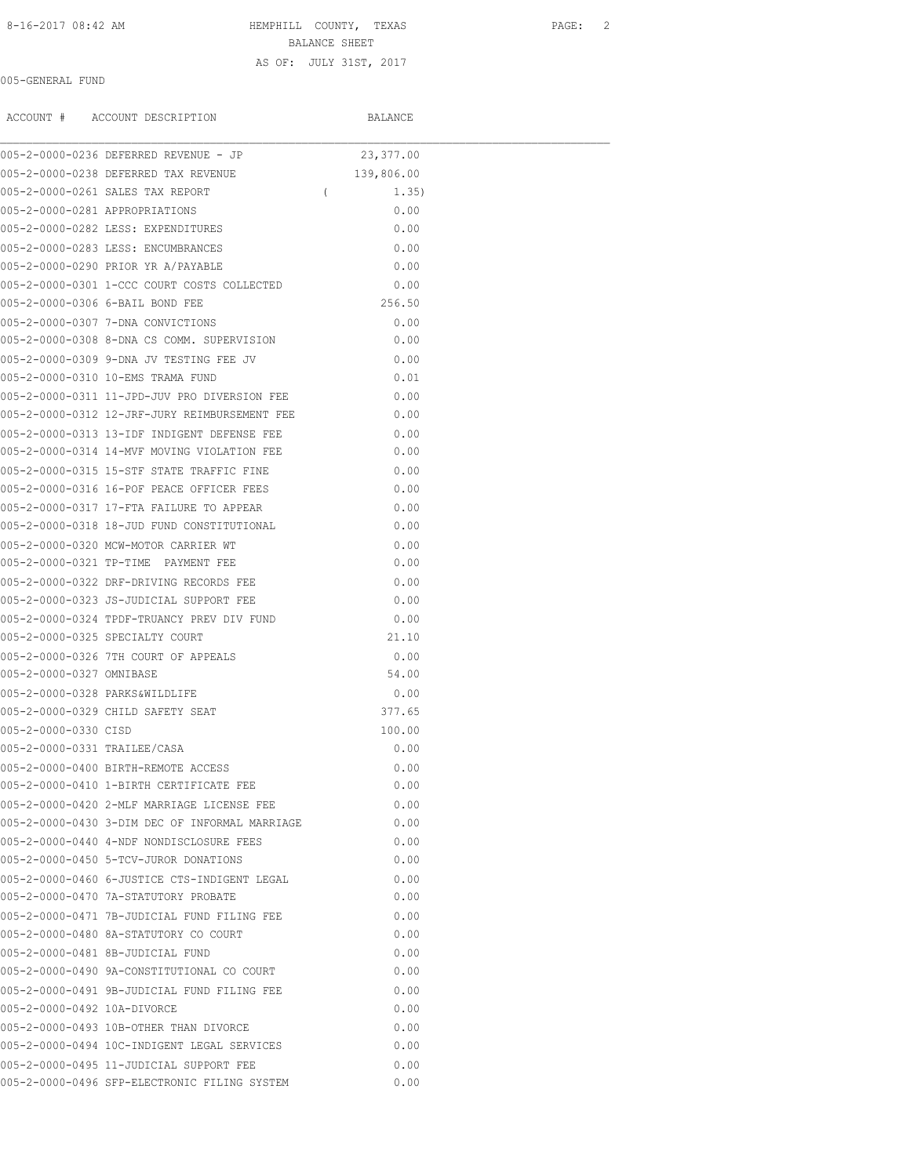8-16-2017 08:42 AM **HEMPHILL COUNTY, TEXAS** PAGE: 2

BALANCE SHEET AS OF: JULY 31ST, 2017

005-GENERAL FUND

|                              | ACCOUNT # ACCOUNT DESCRIPTION                  | BALANCE           |
|------------------------------|------------------------------------------------|-------------------|
|                              | 005-2-0000-0236 DEFERRED REVENUE - JP          | 23, 377.00        |
|                              | 005-2-0000-0238 DEFERRED TAX REVENUE           | 139,806.00        |
|                              | 005-2-0000-0261 SALES TAX REPORT               | 1.35)<br>$\left($ |
|                              | 005-2-0000-0281 APPROPRIATIONS                 | 0.00              |
|                              | 005-2-0000-0282 LESS: EXPENDITURES             | 0.00              |
|                              | 005-2-0000-0283 LESS: ENCUMBRANCES             | 0.00              |
|                              | 005-2-0000-0290 PRIOR YR A/PAYABLE             | 0.00              |
|                              | 005-2-0000-0301 1-CCC COURT COSTS COLLECTED    | 0.00              |
|                              | 005-2-0000-0306 6-BAIL BOND FEE                | 256.50            |
|                              | 005-2-0000-0307 7-DNA CONVICTIONS              | 0.00              |
|                              | 005-2-0000-0308 8-DNA CS COMM. SUPERVISION     | 0.00              |
|                              | 005-2-0000-0309 9-DNA JV TESTING FEE JV        | 0.00              |
|                              | 005-2-0000-0310 10-EMS TRAMA FUND              | 0.01              |
|                              | 005-2-0000-0311 11-JPD-JUV PRO DIVERSION FEE   | 0.00              |
|                              | 005-2-0000-0312 12-JRF-JURY REIMBURSEMENT FEE  | 0.00              |
|                              | 005-2-0000-0313 13-IDF INDIGENT DEFENSE FEE    | 0.00              |
|                              | 005-2-0000-0314 14-MVF MOVING VIOLATION FEE    | 0.00              |
|                              | 005-2-0000-0315 15-STF STATE TRAFFIC FINE      | 0.00              |
|                              | 005-2-0000-0316 16-POF PEACE OFFICER FEES      | 0.00              |
|                              | 005-2-0000-0317 17-FTA FAILURE TO APPEAR       | 0.00              |
|                              | 005-2-0000-0318 18-JUD FUND CONSTITUTIONAL     | 0.00              |
|                              | 005-2-0000-0320 MCW-MOTOR CARRIER WT           | 0.00              |
|                              | 005-2-0000-0321 TP-TIME PAYMENT FEE            | 0.00              |
|                              | 005-2-0000-0322 DRF-DRIVING RECORDS FEE        | 0.00              |
|                              | 005-2-0000-0323 JS-JUDICIAL SUPPORT FEE        | 0.00              |
|                              | 005-2-0000-0324 TPDF-TRUANCY PREV DIV FUND     | 0.00              |
|                              | 005-2-0000-0325 SPECIALTY COURT                | 21.10             |
|                              | 005-2-0000-0326 7TH COURT OF APPEALS           | 0.00              |
| 005-2-0000-0327 OMNIBASE     |                                                | 54.00             |
|                              | 005-2-0000-0328 PARKS&WILDLIFE                 | 0.00              |
|                              | 005-2-0000-0329 CHILD SAFETY SEAT              | 377.65            |
| 005-2-0000-0330 CISD         |                                                | 100.00            |
| 005-2-0000-0331 TRAILEE/CASA |                                                | 0.00              |
|                              | 005-2-0000-0400 BIRTH-REMOTE ACCESS            | 0.00              |
|                              | 005-2-0000-0410 1-BIRTH CERTIFICATE FEE        | 0.00              |
|                              | 005-2-0000-0420 2-MLF MARRIAGE LICENSE FEE     | 0.00              |
|                              | 005-2-0000-0430 3-DIM DEC OF INFORMAL MARRIAGE | 0.00              |
|                              | 005-2-0000-0440 4-NDF NONDISCLOSURE FEES       | 0.00              |
|                              | 005-2-0000-0450 5-TCV-JUROR DONATIONS          | 0.00              |
|                              | 005-2-0000-0460 6-JUSTICE CTS-INDIGENT LEGAL   | 0.00              |
|                              | 005-2-0000-0470 7A-STATUTORY PROBATE           | 0.00              |
|                              | 005-2-0000-0471 7B-JUDICIAL FUND FILING FEE    | 0.00              |
|                              | 005-2-0000-0480 8A-STATUTORY CO COURT          | 0.00              |
|                              | 005-2-0000-0481 8B-JUDICIAL FUND               | 0.00              |
|                              | 005-2-0000-0490 9A-CONSTITUTIONAL CO COURT     | 0.00              |
|                              | 005-2-0000-0491 9B-JUDICIAL FUND FILING FEE    | 0.00              |
| 005-2-0000-0492 10A-DIVORCE  |                                                | 0.00              |
|                              | 005-2-0000-0493 10B-OTHER THAN DIVORCE         | 0.00              |
|                              | 005-2-0000-0494 10C-INDIGENT LEGAL SERVICES    | 0.00              |
|                              | 005-2-0000-0495 11-JUDICIAL SUPPORT FEE        | 0.00              |
|                              | 005-2-0000-0496 SFP-ELECTRONIC FILING SYSTEM   | 0.00              |
|                              |                                                |                   |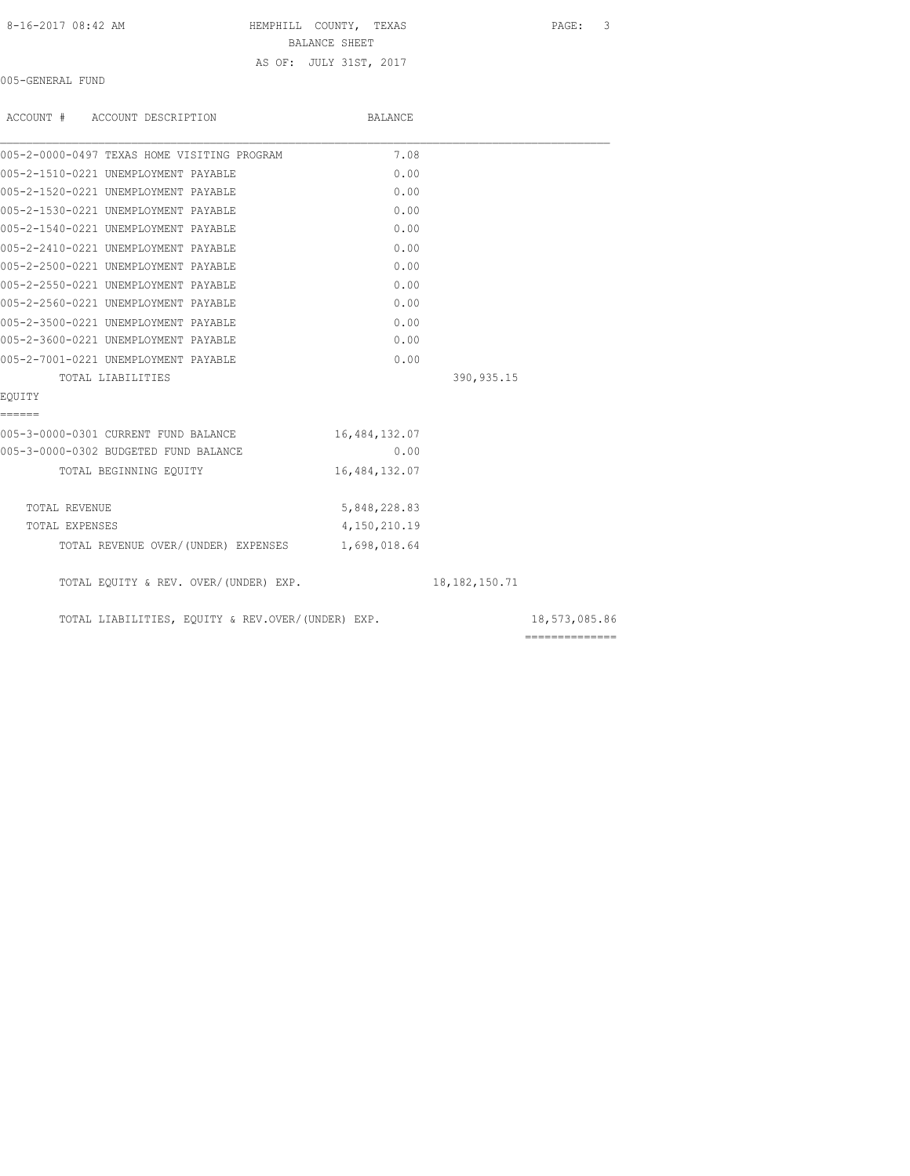| 8-16-2017 08:42 AM |  |
|--------------------|--|
|--------------------|--|

HEMPHILL COUNTY, TEXAS PAGE: 3

BALANCE SHEET

AS OF: JULY 31ST, 2017

005-GENERAL FUND

| ACCOUNT # ACCOUNT DESCRIPTION                     | BALANCE       |                  |                |
|---------------------------------------------------|---------------|------------------|----------------|
| 005-2-0000-0497 TEXAS HOME VISITING PROGRAM       | 7.08          |                  |                |
| 005-2-1510-0221 UNEMPLOYMENT PAYABLE              | 0.00          |                  |                |
| 005-2-1520-0221 UNEMPLOYMENT PAYABLE              | 0.00          |                  |                |
| 005-2-1530-0221 UNEMPLOYMENT PAYABLE              | 0.00          |                  |                |
| 005-2-1540-0221 UNEMPLOYMENT PAYABLE              | 0.00          |                  |                |
| 005-2-2410-0221 UNEMPLOYMENT PAYABLE              | 0.00          |                  |                |
| 005-2-2500-0221 UNEMPLOYMENT PAYABLE              | 0.00          |                  |                |
| 005-2-2550-0221 UNEMPLOYMENT PAYABLE              | 0.00          |                  |                |
| 005-2-2560-0221 UNEMPLOYMENT PAYABLE              | 0.00          |                  |                |
| 005-2-3500-0221 UNEMPLOYMENT PAYABLE              | 0.00          |                  |                |
| 005-2-3600-0221 UNEMPLOYMENT PAYABLE              | 0.00          |                  |                |
| 005-2-7001-0221 UNEMPLOYMENT PAYABLE              | 0.00          |                  |                |
| TOTAL LIABILITIES                                 |               | 390, 935.15      |                |
| EOUITY                                            |               |                  |                |
| ======                                            |               |                  |                |
| 005-3-0000-0301 CURRENT FUND BALANCE              | 16,484,132.07 |                  |                |
| 005-3-0000-0302 BUDGETED FUND BALANCE             | 0.00          |                  |                |
| TOTAL BEGINNING EOUITY                            | 16,484,132.07 |                  |                |
| TOTAL REVENUE                                     | 5,848,228.83  |                  |                |
| TOTAL EXPENSES                                    | 4,150,210.19  |                  |                |
| TOTAL REVENUE OVER/(UNDER) EXPENSES 1,698,018.64  |               |                  |                |
| TOTAL EQUITY & REV. OVER/(UNDER) EXP.             |               | 18, 182, 150. 71 |                |
| TOTAL LIABILITIES, EQUITY & REV.OVER/(UNDER) EXP. |               |                  | 18,573,085.86  |
|                                                   |               |                  | ============== |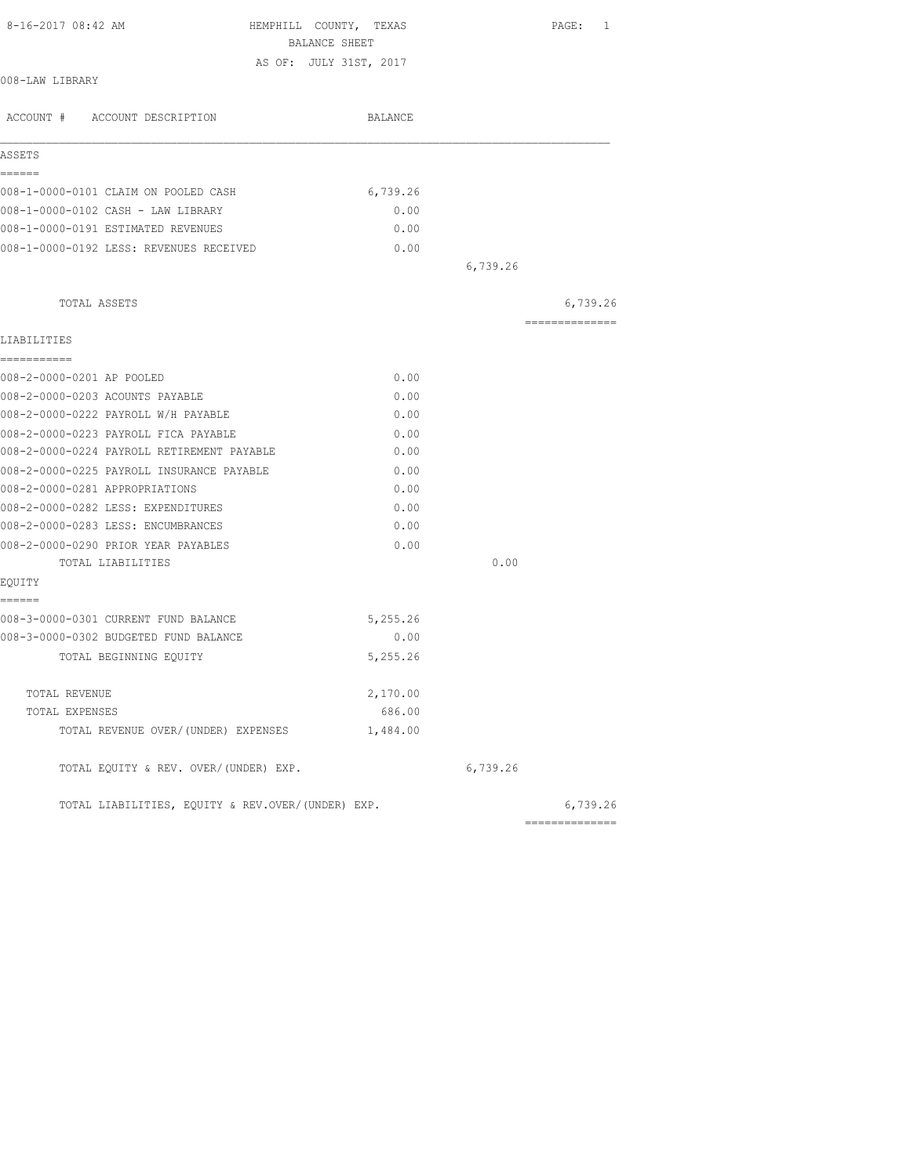| 8-16-2017 08:42 AM<br>HEMPHILL COUNTY, TEXAS      |          |          | PAGE: 1                                                                                                                                                                                                                                                                                                                                                                                                                                                                                |
|---------------------------------------------------|----------|----------|----------------------------------------------------------------------------------------------------------------------------------------------------------------------------------------------------------------------------------------------------------------------------------------------------------------------------------------------------------------------------------------------------------------------------------------------------------------------------------------|
| BALANCE SHEET                                     |          |          |                                                                                                                                                                                                                                                                                                                                                                                                                                                                                        |
| AS OF: JULY 31ST, 2017<br>008-LAW LIBRARY         |          |          |                                                                                                                                                                                                                                                                                                                                                                                                                                                                                        |
| ACCOUNT # ACCOUNT DESCRIPTION                     | BALANCE  |          |                                                                                                                                                                                                                                                                                                                                                                                                                                                                                        |
| ASSETS                                            |          |          |                                                                                                                                                                                                                                                                                                                                                                                                                                                                                        |
| ======<br>008-1-0000-0101 CLAIM ON POOLED CASH    | 6,739.26 |          |                                                                                                                                                                                                                                                                                                                                                                                                                                                                                        |
| 008-1-0000-0102 CASH - LAW LIBRARY                | 0.00     |          |                                                                                                                                                                                                                                                                                                                                                                                                                                                                                        |
| 008-1-0000-0191 ESTIMATED REVENUES                | 0.00     |          |                                                                                                                                                                                                                                                                                                                                                                                                                                                                                        |
| 008-1-0000-0192 LESS: REVENUES RECEIVED           | 0.00     |          |                                                                                                                                                                                                                                                                                                                                                                                                                                                                                        |
|                                                   |          | 6,739.26 |                                                                                                                                                                                                                                                                                                                                                                                                                                                                                        |
| TOTAL ASSETS                                      |          |          | 6,739.26                                                                                                                                                                                                                                                                                                                                                                                                                                                                               |
| LIABILITIES                                       |          |          | $\begin{array}{cccccccccc} \multicolumn{2}{c}{} & \multicolumn{2}{c}{} & \multicolumn{2}{c}{} & \multicolumn{2}{c}{} & \multicolumn{2}{c}{} & \multicolumn{2}{c}{} & \multicolumn{2}{c}{} & \multicolumn{2}{c}{} & \multicolumn{2}{c}{} & \multicolumn{2}{c}{} & \multicolumn{2}{c}{} & \multicolumn{2}{c}{} & \multicolumn{2}{c}{} & \multicolumn{2}{c}{} & \multicolumn{2}{c}{} & \multicolumn{2}{c}{} & \multicolumn{2}{c}{} & \multicolumn{2}{c}{} & \multicolumn{2}{c}{} & \mult$ |
| ===========                                       |          |          |                                                                                                                                                                                                                                                                                                                                                                                                                                                                                        |
| 008-2-0000-0201 AP POOLED                         | 0.00     |          |                                                                                                                                                                                                                                                                                                                                                                                                                                                                                        |
| 008-2-0000-0203 ACOUNTS PAYABLE                   | 0.00     |          |                                                                                                                                                                                                                                                                                                                                                                                                                                                                                        |
| 008-2-0000-0222 PAYROLL W/H PAYABLE               | 0.00     |          |                                                                                                                                                                                                                                                                                                                                                                                                                                                                                        |
| 008-2-0000-0223 PAYROLL FICA PAYABLE              | 0.00     |          |                                                                                                                                                                                                                                                                                                                                                                                                                                                                                        |
| 008-2-0000-0224 PAYROLL RETIREMENT PAYABLE        | 0.00     |          |                                                                                                                                                                                                                                                                                                                                                                                                                                                                                        |
| 008-2-0000-0225 PAYROLL INSURANCE PAYABLE         | 0.00     |          |                                                                                                                                                                                                                                                                                                                                                                                                                                                                                        |
| 008-2-0000-0281 APPROPRIATIONS                    | 0.00     |          |                                                                                                                                                                                                                                                                                                                                                                                                                                                                                        |
| 008-2-0000-0282 LESS: EXPENDITURES                | 0.00     |          |                                                                                                                                                                                                                                                                                                                                                                                                                                                                                        |
| 008-2-0000-0283 LESS: ENCUMBRANCES                | 0.00     |          |                                                                                                                                                                                                                                                                                                                                                                                                                                                                                        |
| 008-2-0000-0290 PRIOR YEAR PAYABLES               | 0.00     |          |                                                                                                                                                                                                                                                                                                                                                                                                                                                                                        |
| TOTAL LIABILITIES                                 |          | 0.00     |                                                                                                                                                                                                                                                                                                                                                                                                                                                                                        |
| EQUITY<br>======                                  |          |          |                                                                                                                                                                                                                                                                                                                                                                                                                                                                                        |
| 008-3-0000-0301 CURRENT FUND BALANCE              | 5,255.26 |          |                                                                                                                                                                                                                                                                                                                                                                                                                                                                                        |
| 008-3-0000-0302 BUDGETED FUND BALANCE             | 0.00     |          |                                                                                                                                                                                                                                                                                                                                                                                                                                                                                        |
| TOTAL BEGINNING EQUITY                            | 5,255.26 |          |                                                                                                                                                                                                                                                                                                                                                                                                                                                                                        |
| TOTAL REVENUE                                     | 2,170.00 |          |                                                                                                                                                                                                                                                                                                                                                                                                                                                                                        |
| TOTAL EXPENSES                                    | 686.00   |          |                                                                                                                                                                                                                                                                                                                                                                                                                                                                                        |
| TOTAL REVENUE OVER/(UNDER) EXPENSES               | 1,484.00 |          |                                                                                                                                                                                                                                                                                                                                                                                                                                                                                        |
| TOTAL EQUITY & REV. OVER/(UNDER) EXP.             |          | 6,739.26 |                                                                                                                                                                                                                                                                                                                                                                                                                                                                                        |
| TOTAL LIABILITIES, EQUITY & REV.OVER/(UNDER) EXP. |          |          | 6,739.26                                                                                                                                                                                                                                                                                                                                                                                                                                                                               |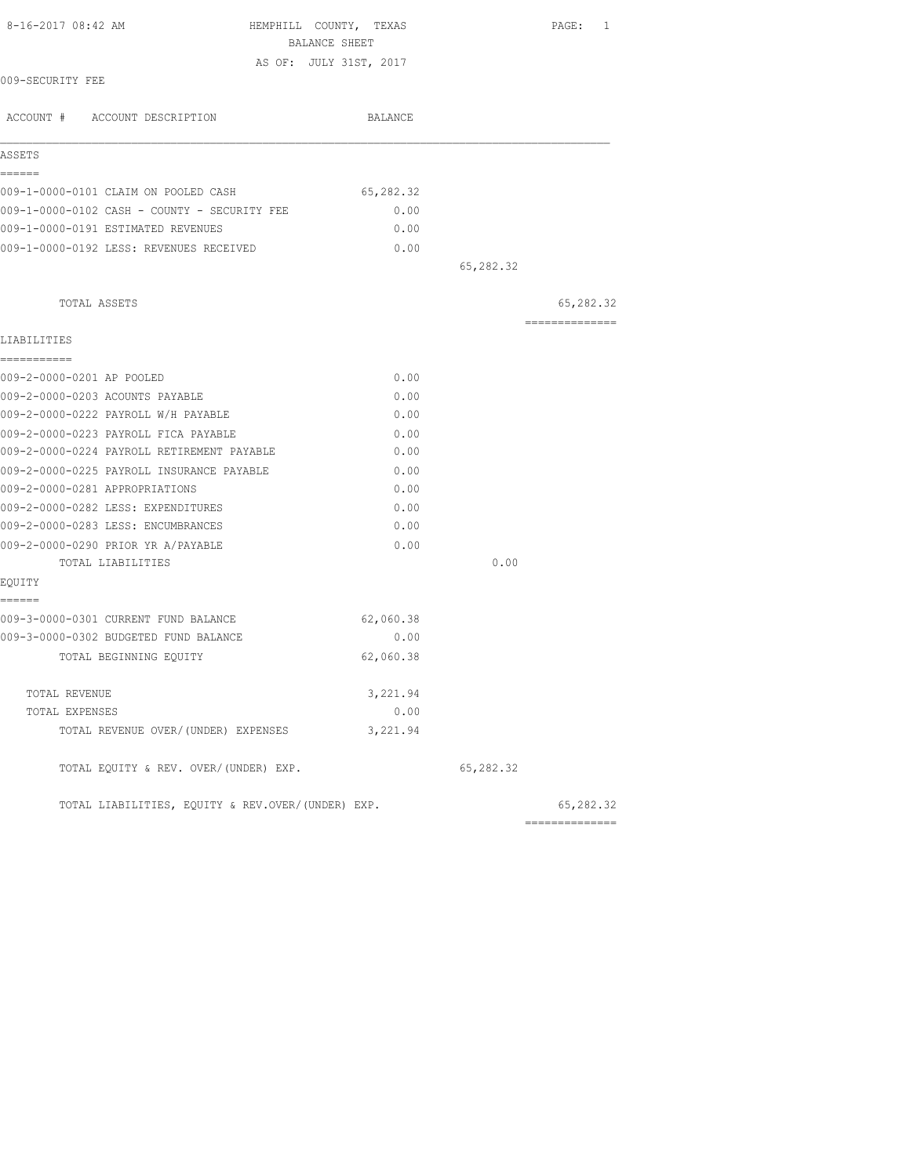| 8-16-2017 08:42 AM                                | HEMPHILL COUNTY, TEXAS<br>BALANCE SHEET |           |                             |
|---------------------------------------------------|-----------------------------------------|-----------|-----------------------------|
| AS OF: JULY 31ST, 2017                            |                                         |           |                             |
| 009-SECURITY FEE                                  |                                         |           |                             |
| ACCOUNT # ACCOUNT DESCRIPTION                     | BALANCE                                 |           |                             |
| ASSETS                                            |                                         |           |                             |
| ======                                            |                                         |           |                             |
| 009-1-0000-0101 CLAIM ON POOLED CASH              | 65,282.32                               |           |                             |
| 009-1-0000-0102 CASH - COUNTY - SECURITY FEE      | 0.00                                    |           |                             |
| 009-1-0000-0191 ESTIMATED REVENUES                | 0.00                                    |           |                             |
| 009-1-0000-0192 LESS: REVENUES RECEIVED           | 0.00                                    |           |                             |
|                                                   |                                         | 65,282.32 |                             |
| TOTAL ASSETS                                      |                                         |           | 65,282.32                   |
| LIABILITIES                                       |                                         |           | --------------              |
| ===========                                       |                                         |           |                             |
| 009-2-0000-0201 AP POOLED                         | 0.00                                    |           |                             |
| 009-2-0000-0203 ACOUNTS PAYABLE                   | 0.00                                    |           |                             |
| 009-2-0000-0222 PAYROLL W/H PAYABLE               | 0.00                                    |           |                             |
| 009-2-0000-0223 PAYROLL FICA PAYABLE              | 0.00                                    |           |                             |
| 009-2-0000-0224 PAYROLL RETIREMENT PAYABLE        | 0.00                                    |           |                             |
| 009-2-0000-0225 PAYROLL INSURANCE PAYABLE         | 0.00                                    |           |                             |
| 009-2-0000-0281 APPROPRIATIONS                    | 0.00                                    |           |                             |
| 009-2-0000-0282 LESS: EXPENDITURES                | 0.00                                    |           |                             |
| 009-2-0000-0283 LESS: ENCUMBRANCES                | 0.00                                    |           |                             |
| 009-2-0000-0290 PRIOR YR A/PAYABLE                | 0.00                                    |           |                             |
| TOTAL LIABILITIES                                 |                                         | 0.00      |                             |
| EQUITY<br>======                                  |                                         |           |                             |
| 009-3-0000-0301 CURRENT FUND BALANCE              | 62,060.38                               |           |                             |
| 009-3-0000-0302 BUDGETED FUND BALANCE             | 0.00                                    |           |                             |
| TOTAL BEGINNING EQUITY                            | 62,060.38                               |           |                             |
| TOTAL REVENUE                                     | 3,221.94                                |           |                             |
| TOTAL EXPENSES                                    | 0.00                                    |           |                             |
| TOTAL REVENUE OVER/(UNDER) EXPENSES               | 3,221.94                                |           |                             |
| TOTAL EQUITY & REV. OVER/(UNDER) EXP.             |                                         | 65,282.32 |                             |
| TOTAL LIABILITIES, EQUITY & REV.OVER/(UNDER) EXP. |                                         |           | 65,282.32<br>============== |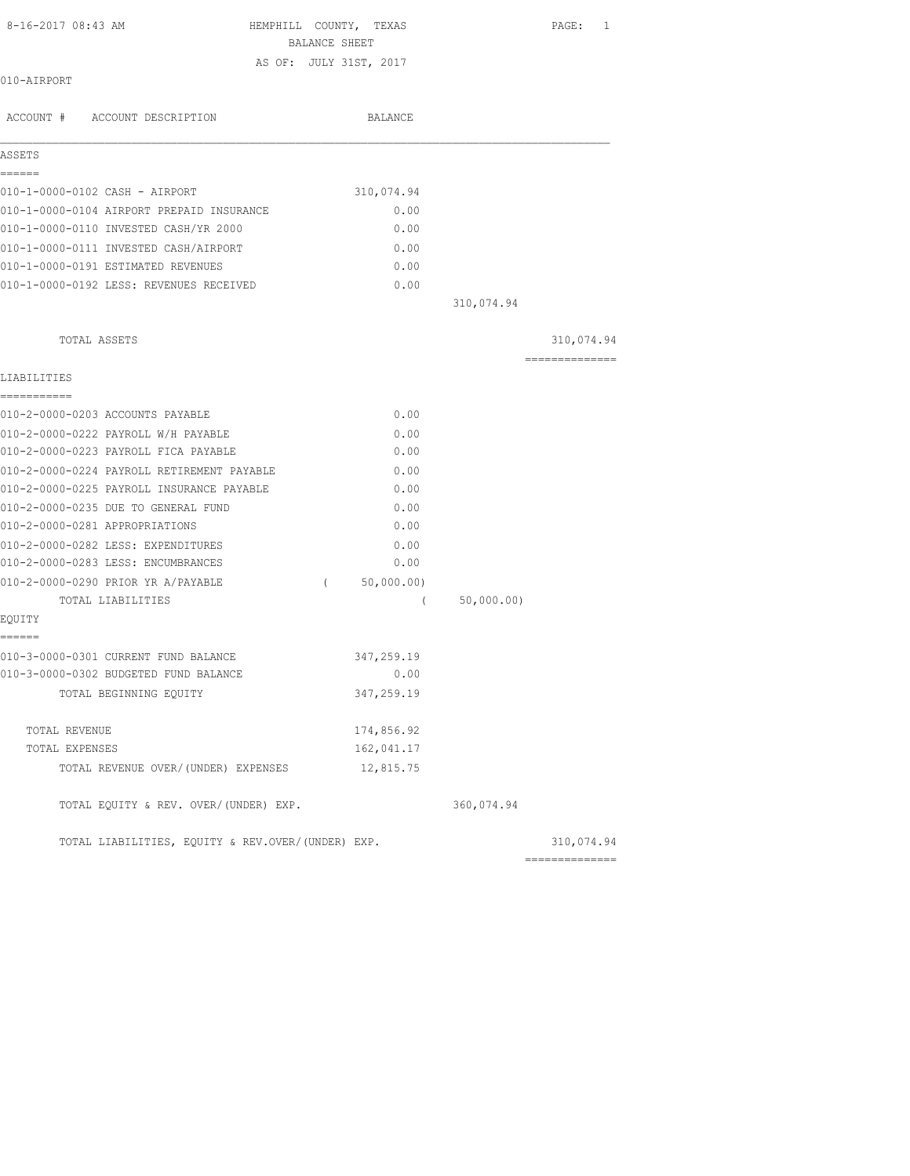| BALANCE SHEET<br>AS OF: JULY 31ST, 2017<br>010-AIRPORT<br>ACCOUNT # ACCOUNT DESCRIPTION<br>BALANCE<br>ASSETS<br>------<br>310,074.94<br>010-1-0000-0102 CASH - AIRPORT<br>010-1-0000-0104 AIRPORT PREPAID INSURANCE<br>0.00<br>010-1-0000-0110 INVESTED CASH/YR 2000<br>0.00<br>010-1-0000-0111 INVESTED CASH/AIRPORT<br>0.00<br>010-1-0000-0191 ESTIMATED REVENUES<br>0.00<br>010-1-0000-0192 LESS: REVENUES RECEIVED<br>0.00<br>310,074.94<br>TOTAL ASSETS<br>===============<br>LIABILITIES<br>-----------<br>010-2-0000-0203 ACCOUNTS PAYABLE<br>0.00<br>010-2-0000-0222 PAYROLL W/H PAYABLE<br>0.00<br>010-2-0000-0223 PAYROLL FICA PAYABLE<br>0.00<br>010-2-0000-0224 PAYROLL RETIREMENT PAYABLE<br>0.00<br>010-2-0000-0225 PAYROLL INSURANCE PAYABLE<br>0.00<br>010-2-0000-0235 DUE TO GENERAL FUND<br>0.00<br>010-2-0000-0281 APPROPRIATIONS<br>0.00<br>010-2-0000-0282 LESS: EXPENDITURES<br>0.00<br>010-2-0000-0283 LESS: ENCUMBRANCES<br>0.00<br>010-2-0000-0290 PRIOR YR A/PAYABLE<br>50,000.00)<br>$\left($<br>50,000.00)<br>TOTAL LIABILITIES<br>$\left($<br>EQUITY<br>------<br>010-3-0000-0301 CURRENT FUND BALANCE<br>347,259.19<br>010-3-0000-0302 BUDGETED FUND BALANCE<br>0.00<br>347,259.19<br>TOTAL BEGINNING EQUITY<br>174,856.92<br>TOTAL REVENUE<br>162,041.17<br>TOTAL EXPENSES<br>TOTAL REVENUE OVER/(UNDER) EXPENSES<br>12,815.75<br>TOTAL EQUITY & REV. OVER/(UNDER) EXP.<br>360,074.94<br>TOTAL LIABILITIES, EQUITY & REV.OVER/(UNDER) EXP. | 8-16-2017 08:43 AM | HEMPHILL COUNTY, TEXAS | PAGE: 1    |
|---------------------------------------------------------------------------------------------------------------------------------------------------------------------------------------------------------------------------------------------------------------------------------------------------------------------------------------------------------------------------------------------------------------------------------------------------------------------------------------------------------------------------------------------------------------------------------------------------------------------------------------------------------------------------------------------------------------------------------------------------------------------------------------------------------------------------------------------------------------------------------------------------------------------------------------------------------------------------------------------------------------------------------------------------------------------------------------------------------------------------------------------------------------------------------------------------------------------------------------------------------------------------------------------------------------------------------------------------------------------------------------------------------------------------------------------------------------------------|--------------------|------------------------|------------|
|                                                                                                                                                                                                                                                                                                                                                                                                                                                                                                                                                                                                                                                                                                                                                                                                                                                                                                                                                                                                                                                                                                                                                                                                                                                                                                                                                                                                                                                                           |                    |                        |            |
|                                                                                                                                                                                                                                                                                                                                                                                                                                                                                                                                                                                                                                                                                                                                                                                                                                                                                                                                                                                                                                                                                                                                                                                                                                                                                                                                                                                                                                                                           |                    |                        |            |
|                                                                                                                                                                                                                                                                                                                                                                                                                                                                                                                                                                                                                                                                                                                                                                                                                                                                                                                                                                                                                                                                                                                                                                                                                                                                                                                                                                                                                                                                           |                    |                        |            |
|                                                                                                                                                                                                                                                                                                                                                                                                                                                                                                                                                                                                                                                                                                                                                                                                                                                                                                                                                                                                                                                                                                                                                                                                                                                                                                                                                                                                                                                                           |                    |                        |            |
|                                                                                                                                                                                                                                                                                                                                                                                                                                                                                                                                                                                                                                                                                                                                                                                                                                                                                                                                                                                                                                                                                                                                                                                                                                                                                                                                                                                                                                                                           |                    |                        |            |
|                                                                                                                                                                                                                                                                                                                                                                                                                                                                                                                                                                                                                                                                                                                                                                                                                                                                                                                                                                                                                                                                                                                                                                                                                                                                                                                                                                                                                                                                           |                    |                        |            |
|                                                                                                                                                                                                                                                                                                                                                                                                                                                                                                                                                                                                                                                                                                                                                                                                                                                                                                                                                                                                                                                                                                                                                                                                                                                                                                                                                                                                                                                                           |                    |                        |            |
|                                                                                                                                                                                                                                                                                                                                                                                                                                                                                                                                                                                                                                                                                                                                                                                                                                                                                                                                                                                                                                                                                                                                                                                                                                                                                                                                                                                                                                                                           |                    |                        |            |
|                                                                                                                                                                                                                                                                                                                                                                                                                                                                                                                                                                                                                                                                                                                                                                                                                                                                                                                                                                                                                                                                                                                                                                                                                                                                                                                                                                                                                                                                           |                    |                        |            |
|                                                                                                                                                                                                                                                                                                                                                                                                                                                                                                                                                                                                                                                                                                                                                                                                                                                                                                                                                                                                                                                                                                                                                                                                                                                                                                                                                                                                                                                                           |                    |                        |            |
|                                                                                                                                                                                                                                                                                                                                                                                                                                                                                                                                                                                                                                                                                                                                                                                                                                                                                                                                                                                                                                                                                                                                                                                                                                                                                                                                                                                                                                                                           |                    |                        |            |
|                                                                                                                                                                                                                                                                                                                                                                                                                                                                                                                                                                                                                                                                                                                                                                                                                                                                                                                                                                                                                                                                                                                                                                                                                                                                                                                                                                                                                                                                           |                    |                        |            |
|                                                                                                                                                                                                                                                                                                                                                                                                                                                                                                                                                                                                                                                                                                                                                                                                                                                                                                                                                                                                                                                                                                                                                                                                                                                                                                                                                                                                                                                                           |                    |                        |            |
|                                                                                                                                                                                                                                                                                                                                                                                                                                                                                                                                                                                                                                                                                                                                                                                                                                                                                                                                                                                                                                                                                                                                                                                                                                                                                                                                                                                                                                                                           |                    |                        |            |
|                                                                                                                                                                                                                                                                                                                                                                                                                                                                                                                                                                                                                                                                                                                                                                                                                                                                                                                                                                                                                                                                                                                                                                                                                                                                                                                                                                                                                                                                           |                    |                        | 310,074.94 |
|                                                                                                                                                                                                                                                                                                                                                                                                                                                                                                                                                                                                                                                                                                                                                                                                                                                                                                                                                                                                                                                                                                                                                                                                                                                                                                                                                                                                                                                                           |                    |                        |            |
|                                                                                                                                                                                                                                                                                                                                                                                                                                                                                                                                                                                                                                                                                                                                                                                                                                                                                                                                                                                                                                                                                                                                                                                                                                                                                                                                                                                                                                                                           |                    |                        |            |
|                                                                                                                                                                                                                                                                                                                                                                                                                                                                                                                                                                                                                                                                                                                                                                                                                                                                                                                                                                                                                                                                                                                                                                                                                                                                                                                                                                                                                                                                           |                    |                        |            |
|                                                                                                                                                                                                                                                                                                                                                                                                                                                                                                                                                                                                                                                                                                                                                                                                                                                                                                                                                                                                                                                                                                                                                                                                                                                                                                                                                                                                                                                                           |                    |                        |            |
|                                                                                                                                                                                                                                                                                                                                                                                                                                                                                                                                                                                                                                                                                                                                                                                                                                                                                                                                                                                                                                                                                                                                                                                                                                                                                                                                                                                                                                                                           |                    |                        |            |
|                                                                                                                                                                                                                                                                                                                                                                                                                                                                                                                                                                                                                                                                                                                                                                                                                                                                                                                                                                                                                                                                                                                                                                                                                                                                                                                                                                                                                                                                           |                    |                        |            |
|                                                                                                                                                                                                                                                                                                                                                                                                                                                                                                                                                                                                                                                                                                                                                                                                                                                                                                                                                                                                                                                                                                                                                                                                                                                                                                                                                                                                                                                                           |                    |                        |            |
|                                                                                                                                                                                                                                                                                                                                                                                                                                                                                                                                                                                                                                                                                                                                                                                                                                                                                                                                                                                                                                                                                                                                                                                                                                                                                                                                                                                                                                                                           |                    |                        |            |
|                                                                                                                                                                                                                                                                                                                                                                                                                                                                                                                                                                                                                                                                                                                                                                                                                                                                                                                                                                                                                                                                                                                                                                                                                                                                                                                                                                                                                                                                           |                    |                        |            |
|                                                                                                                                                                                                                                                                                                                                                                                                                                                                                                                                                                                                                                                                                                                                                                                                                                                                                                                                                                                                                                                                                                                                                                                                                                                                                                                                                                                                                                                                           |                    |                        |            |
|                                                                                                                                                                                                                                                                                                                                                                                                                                                                                                                                                                                                                                                                                                                                                                                                                                                                                                                                                                                                                                                                                                                                                                                                                                                                                                                                                                                                                                                                           |                    |                        |            |
|                                                                                                                                                                                                                                                                                                                                                                                                                                                                                                                                                                                                                                                                                                                                                                                                                                                                                                                                                                                                                                                                                                                                                                                                                                                                                                                                                                                                                                                                           |                    |                        |            |
|                                                                                                                                                                                                                                                                                                                                                                                                                                                                                                                                                                                                                                                                                                                                                                                                                                                                                                                                                                                                                                                                                                                                                                                                                                                                                                                                                                                                                                                                           |                    |                        |            |
|                                                                                                                                                                                                                                                                                                                                                                                                                                                                                                                                                                                                                                                                                                                                                                                                                                                                                                                                                                                                                                                                                                                                                                                                                                                                                                                                                                                                                                                                           |                    |                        |            |
|                                                                                                                                                                                                                                                                                                                                                                                                                                                                                                                                                                                                                                                                                                                                                                                                                                                                                                                                                                                                                                                                                                                                                                                                                                                                                                                                                                                                                                                                           |                    |                        |            |
|                                                                                                                                                                                                                                                                                                                                                                                                                                                                                                                                                                                                                                                                                                                                                                                                                                                                                                                                                                                                                                                                                                                                                                                                                                                                                                                                                                                                                                                                           |                    |                        |            |
|                                                                                                                                                                                                                                                                                                                                                                                                                                                                                                                                                                                                                                                                                                                                                                                                                                                                                                                                                                                                                                                                                                                                                                                                                                                                                                                                                                                                                                                                           |                    |                        |            |
|                                                                                                                                                                                                                                                                                                                                                                                                                                                                                                                                                                                                                                                                                                                                                                                                                                                                                                                                                                                                                                                                                                                                                                                                                                                                                                                                                                                                                                                                           |                    |                        |            |
|                                                                                                                                                                                                                                                                                                                                                                                                                                                                                                                                                                                                                                                                                                                                                                                                                                                                                                                                                                                                                                                                                                                                                                                                                                                                                                                                                                                                                                                                           |                    |                        |            |
|                                                                                                                                                                                                                                                                                                                                                                                                                                                                                                                                                                                                                                                                                                                                                                                                                                                                                                                                                                                                                                                                                                                                                                                                                                                                                                                                                                                                                                                                           |                    |                        |            |
|                                                                                                                                                                                                                                                                                                                                                                                                                                                                                                                                                                                                                                                                                                                                                                                                                                                                                                                                                                                                                                                                                                                                                                                                                                                                                                                                                                                                                                                                           |                    |                        |            |
|                                                                                                                                                                                                                                                                                                                                                                                                                                                                                                                                                                                                                                                                                                                                                                                                                                                                                                                                                                                                                                                                                                                                                                                                                                                                                                                                                                                                                                                                           |                    |                        | 310,074.94 |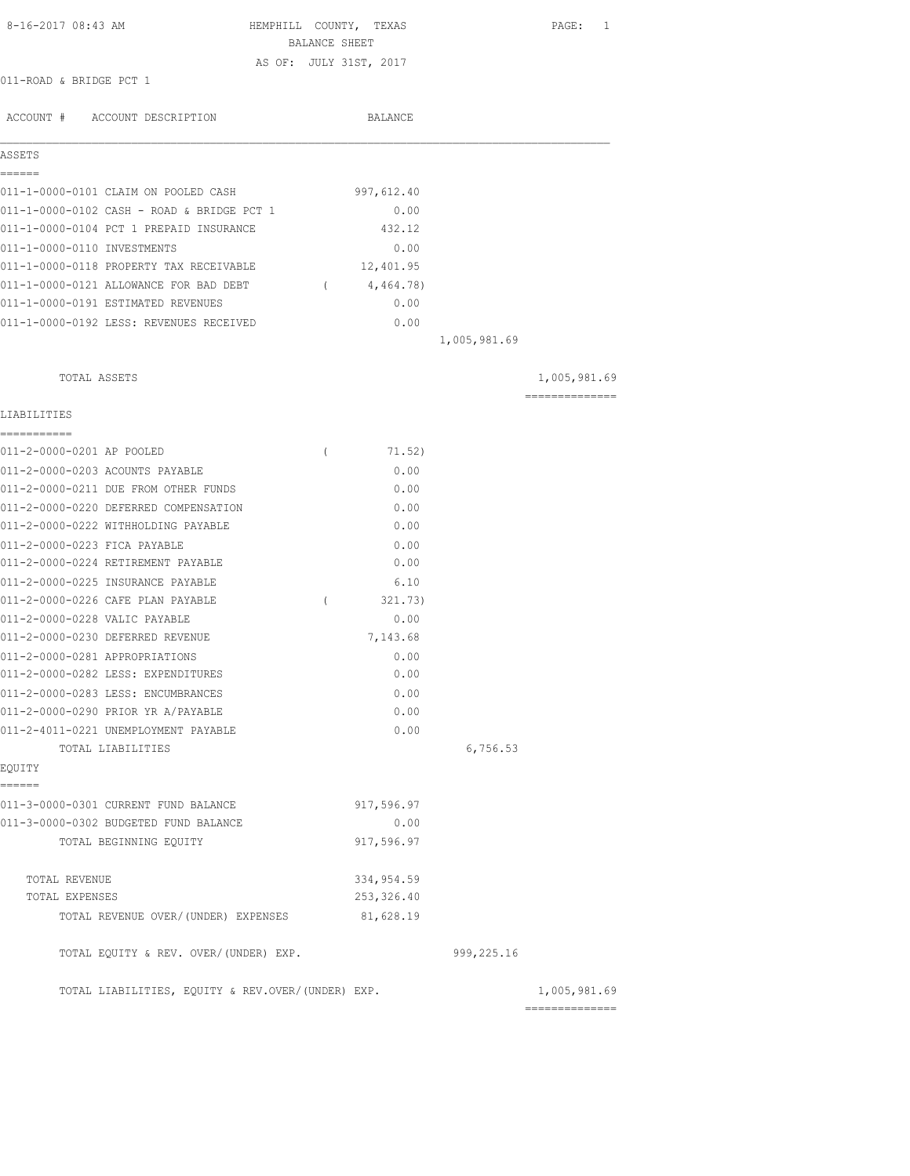| 8-16-2017 08:43 AM                                        | HEMPHILL COUNTY, TEXAS<br>BALANCE SHEET |             |              | PAGE: 1                         |
|-----------------------------------------------------------|-----------------------------------------|-------------|--------------|---------------------------------|
| 011-ROAD & BRIDGE PCT 1                                   | AS OF: JULY 31ST, 2017                  |             |              |                                 |
|                                                           |                                         |             |              |                                 |
| ACCOUNT # ACCOUNT DESCRIPTION                             |                                         | BALANCE     |              |                                 |
| ASSETS                                                    |                                         |             |              |                                 |
| ======<br>011-1-0000-0101 CLAIM ON POOLED CASH            |                                         | 997,612.40  |              |                                 |
| 011-1-0000-0102 CASH - ROAD & BRIDGE PCT 1                |                                         | 0.00        |              |                                 |
| 011-1-0000-0104 PCT 1 PREPAID INSURANCE                   |                                         | 432.12      |              |                                 |
| 011-1-0000-0110 INVESTMENTS                               |                                         | 0.00        |              |                                 |
| 011-1-0000-0118 PROPERTY TAX RECEIVABLE                   |                                         | 12,401.95   |              |                                 |
| 011-1-0000-0121 ALLOWANCE FOR BAD DEBT                    | $\sqrt{2}$                              | 4,464.78)   |              |                                 |
| 011-1-0000-0191 ESTIMATED REVENUES                        |                                         | 0.00        |              |                                 |
| 011-1-0000-0192 LESS: REVENUES RECEIVED                   |                                         | 0.00        |              |                                 |
|                                                           |                                         |             | 1,005,981.69 |                                 |
| TOTAL ASSETS                                              |                                         |             |              | 1,005,981.69                    |
|                                                           |                                         |             |              | ==============                  |
| LIABILITIES<br>-----------                                |                                         |             |              |                                 |
| 011-2-0000-0201 AP POOLED                                 | $\left($                                | 71.52)      |              |                                 |
| 011-2-0000-0203 ACOUNTS PAYABLE                           |                                         | 0.00        |              |                                 |
| 011-2-0000-0211 DUE FROM OTHER FUNDS                      |                                         | 0.00        |              |                                 |
| 011-2-0000-0220 DEFERRED COMPENSATION                     |                                         | 0.00        |              |                                 |
| 011-2-0000-0222 WITHHOLDING PAYABLE                       |                                         | 0.00        |              |                                 |
| 011-2-0000-0223 FICA PAYABLE                              |                                         | 0.00        |              |                                 |
| 011-2-0000-0224 RETIREMENT PAYABLE                        |                                         | 0.00        |              |                                 |
| 011-2-0000-0225 INSURANCE PAYABLE                         |                                         | 6.10        |              |                                 |
| 011-2-0000-0226 CAFE PLAN PAYABLE                         | $\left($                                | 321.73)     |              |                                 |
| 011-2-0000-0228 VALIC PAYABLE                             |                                         | 0.00        |              |                                 |
| 011-2-0000-0230 DEFERRED REVENUE                          |                                         | 7,143.68    |              |                                 |
| 011-2-0000-0281 APPROPRIATIONS                            |                                         | 0.00        |              |                                 |
| 011-2-0000-0282 LESS: EXPENDITURES                        |                                         | 0.00        |              |                                 |
| 011-2-0000-0283 LESS: ENCUMBRANCES                        |                                         | 0.00        |              |                                 |
| 011-2-0000-0290 PRIOR YR A/PAYABLE                        |                                         | 0.00        |              |                                 |
| 011-2-4011-0221 UNEMPLOYMENT PAYABLE<br>TOTAL LIABILITIES |                                         | 0.00        |              |                                 |
| EQUITY                                                    |                                         |             | 6,756.53     |                                 |
| ======                                                    |                                         |             |              |                                 |
| 011-3-0000-0301 CURRENT FUND BALANCE                      |                                         | 917,596.97  |              |                                 |
| 011-3-0000-0302 BUDGETED FUND BALANCE                     |                                         | 0.00        |              |                                 |
| TOTAL BEGINNING EQUITY                                    |                                         | 917,596.97  |              |                                 |
| TOTAL REVENUE                                             |                                         | 334, 954.59 |              |                                 |
| TOTAL EXPENSES                                            |                                         | 253,326.40  |              |                                 |
| TOTAL REVENUE OVER/(UNDER) EXPENSES                       |                                         | 81,628.19   |              |                                 |
| TOTAL EQUITY & REV. OVER/(UNDER) EXP.                     |                                         |             | 999,225.16   |                                 |
| TOTAL LIABILITIES, EQUITY & REV.OVER/(UNDER) EXP.         |                                         |             |              | 1,005,981.69<br>--------------- |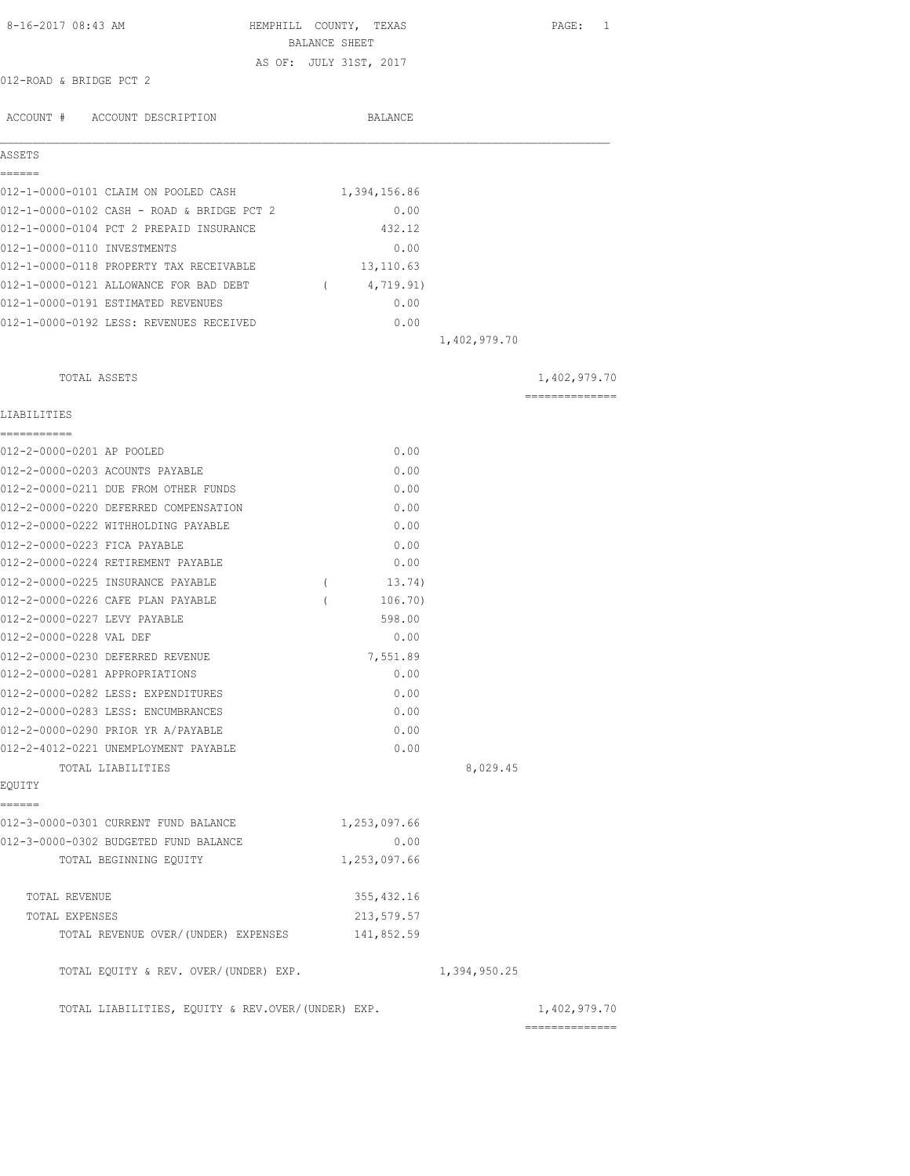| 8-16-2017 08:43 AM                                | HEMPHILL COUNTY, TEXAS                  |              | PAGE: 1                         |
|---------------------------------------------------|-----------------------------------------|--------------|---------------------------------|
|                                                   | BALANCE SHEET<br>AS OF: JULY 31ST, 2017 |              |                                 |
| 012-ROAD & BRIDGE PCT 2                           |                                         |              |                                 |
|                                                   |                                         |              |                                 |
| ACCOUNT # ACCOUNT DESCRIPTION                     | BALANCE                                 |              |                                 |
| ASSETS                                            |                                         |              |                                 |
| ------                                            |                                         |              |                                 |
| 012-1-0000-0101 CLAIM ON POOLED CASH              | 1,394,156.86                            |              |                                 |
| 012-1-0000-0102 CASH - ROAD & BRIDGE PCT 2        | 0.00                                    |              |                                 |
| 012-1-0000-0104 PCT 2 PREPAID INSURANCE           | 432.12                                  |              |                                 |
| 012-1-0000-0110 INVESTMENTS                       | 0.00                                    |              |                                 |
| 012-1-0000-0118 PROPERTY TAX RECEIVABLE           | 13,110.63                               |              |                                 |
| 012-1-0000-0121 ALLOWANCE FOR BAD DEBT            | 4,719.91)<br>$\sqrt{2}$                 |              |                                 |
| 012-1-0000-0191 ESTIMATED REVENUES                | 0.00                                    |              |                                 |
| 012-1-0000-0192 LESS: REVENUES RECEIVED           | 0.00                                    |              |                                 |
|                                                   |                                         | 1,402,979.70 |                                 |
| TOTAL ASSETS                                      |                                         |              | 1,402,979.70                    |
|                                                   |                                         |              | ==============                  |
| LIABILITIES<br>-----------                        |                                         |              |                                 |
| 012-2-0000-0201 AP POOLED                         | 0.00                                    |              |                                 |
| 012-2-0000-0203 ACOUNTS PAYABLE                   | 0.00                                    |              |                                 |
| 012-2-0000-0211 DUE FROM OTHER FUNDS              | 0.00                                    |              |                                 |
| 012-2-0000-0220 DEFERRED COMPENSATION             | 0.00                                    |              |                                 |
| 012-2-0000-0222 WITHHOLDING PAYABLE               | 0.00                                    |              |                                 |
| 012-2-0000-0223 FICA PAYABLE                      | 0.00                                    |              |                                 |
| 012-2-0000-0224 RETIREMENT PAYABLE                | 0.00                                    |              |                                 |
| 012-2-0000-0225 INSURANCE PAYABLE                 | 13.74)<br>$\left($                      |              |                                 |
| 012-2-0000-0226 CAFE PLAN PAYABLE                 | 106.70)                                 |              |                                 |
| 012-2-0000-0227 LEVY PAYABLE                      | 598.00                                  |              |                                 |
| 012-2-0000-0228 VAL DEF                           | 0.00                                    |              |                                 |
| 012-2-0000-0230 DEFERRED REVENUE                  | 7,551.89                                |              |                                 |
| 012-2-0000-0281 APPROPRIATIONS                    | 0.00                                    |              |                                 |
| 012-2-0000-0282 LESS: EXPENDITURES                | 0.00                                    |              |                                 |
| 012-2-0000-0283 LESS: ENCUMBRANCES                | 0.00                                    |              |                                 |
| 012-2-0000-0290 PRIOR YR A/PAYABLE                | 0.00                                    |              |                                 |
| 012-2-4012-0221 UNEMPLOYMENT PAYABLE              | 0.00                                    |              |                                 |
| TOTAL LIABILITIES                                 |                                         | 8,029.45     |                                 |
| EQUITY<br>======                                  |                                         |              |                                 |
| 012-3-0000-0301 CURRENT FUND BALANCE              | 1,253,097.66                            |              |                                 |
| 012-3-0000-0302 BUDGETED FUND BALANCE             | 0.00                                    |              |                                 |
| TOTAL BEGINNING EQUITY                            | 1,253,097.66                            |              |                                 |
|                                                   |                                         |              |                                 |
| TOTAL REVENUE                                     | 355, 432.16                             |              |                                 |
| TOTAL EXPENSES                                    | 213,579.57                              |              |                                 |
| TOTAL REVENUE OVER/(UNDER) EXPENSES               | 141,852.59                              |              |                                 |
| TOTAL EQUITY & REV. OVER/(UNDER) EXP.             |                                         | 1,394,950.25 |                                 |
| TOTAL LIABILITIES, EQUITY & REV.OVER/(UNDER) EXP. |                                         |              | 1,402,979.70<br>--------------- |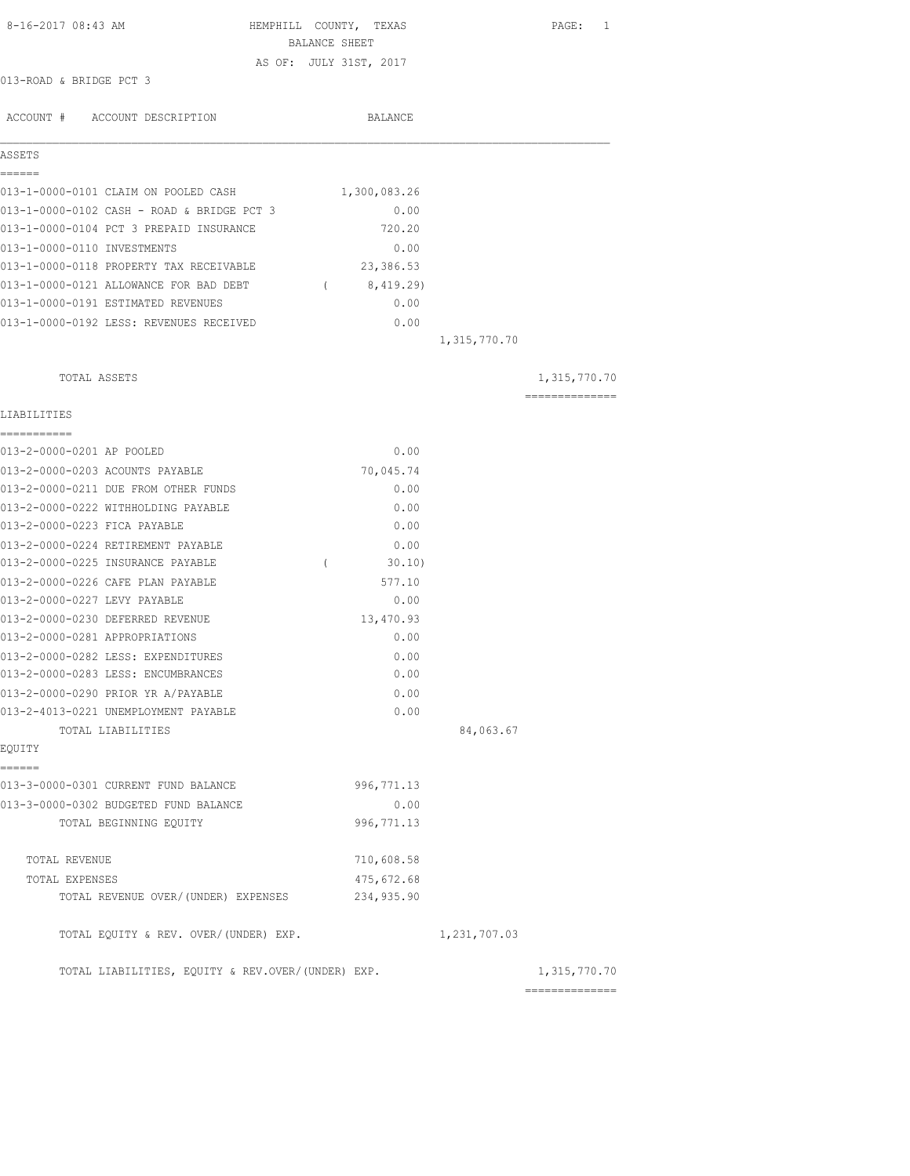| 8-16-2017 08:43 AM                                |               | HEMPHILL COUNTY, TEXAS |              | PAGE: 1                        |
|---------------------------------------------------|---------------|------------------------|--------------|--------------------------------|
|                                                   | BALANCE SHEET |                        |              |                                |
| 013-ROAD & BRIDGE PCT 3                           |               | AS OF: JULY 31ST, 2017 |              |                                |
|                                                   |               |                        |              |                                |
| ACCOUNT # ACCOUNT DESCRIPTION                     |               | BALANCE                |              |                                |
|                                                   |               |                        |              |                                |
| ASSETS<br>------                                  |               |                        |              |                                |
| 013-1-0000-0101 CLAIM ON POOLED CASH              |               | 1,300,083.26           |              |                                |
| 013-1-0000-0102 CASH - ROAD & BRIDGE PCT 3        |               | 0.00                   |              |                                |
| 013-1-0000-0104 PCT 3 PREPAID INSURANCE           |               | 720.20                 |              |                                |
| 013-1-0000-0110 INVESTMENTS                       |               | 0.00                   |              |                                |
| 013-1-0000-0118 PROPERTY TAX RECEIVABLE           |               | 23, 386.53             |              |                                |
| 013-1-0000-0121 ALLOWANCE FOR BAD DEBT (8,419.29) |               |                        |              |                                |
| 013-1-0000-0191 ESTIMATED REVENUES                |               | 0.00                   |              |                                |
| 013-1-0000-0192 LESS: REVENUES RECEIVED           |               | 0.00                   |              |                                |
|                                                   |               |                        | 1,315,770.70 |                                |
|                                                   |               |                        |              |                                |
| TOTAL ASSETS                                      |               |                        |              | 1,315,770.70<br>============== |
| LIABILITIES                                       |               |                        |              |                                |
| 013-2-0000-0201 AP POOLED                         |               | 0.00                   |              |                                |
| 013-2-0000-0203 ACOUNTS PAYABLE                   |               | 70,045.74              |              |                                |
| 013-2-0000-0211 DUE FROM OTHER FUNDS              |               | 0.00                   |              |                                |
| 013-2-0000-0222 WITHHOLDING PAYABLE               |               | 0.00                   |              |                                |
| 013-2-0000-0223 FICA PAYABLE                      |               | 0.00                   |              |                                |
| 013-2-0000-0224 RETIREMENT PAYABLE                |               | 0.00                   |              |                                |
| 013-2-0000-0225 INSURANCE PAYABLE                 | $\left($      | 30.10                  |              |                                |
| 013-2-0000-0226 CAFE PLAN PAYABLE                 |               | 577.10                 |              |                                |
| 013-2-0000-0227 LEVY PAYABLE                      |               | 0.00                   |              |                                |
| 013-2-0000-0230 DEFERRED REVENUE                  |               | 13,470.93              |              |                                |
| 013-2-0000-0281 APPROPRIATIONS                    |               | 0.00                   |              |                                |
| 013-2-0000-0282 LESS: EXPENDITURES                |               | 0.00                   |              |                                |
| 013-2-0000-0283 LESS: ENCUMBRANCES                |               | 0.00                   |              |                                |
| 013-2-0000-0290 PRIOR YR A/PAYABLE                |               | 0.00                   |              |                                |
| 013-2-4013-0221 UNEMPLOYMENT PAYABLE              |               | 0.00                   |              |                                |
| TOTAL LIABILITIES                                 |               |                        | 84,063.67    |                                |
| EQUITY                                            |               |                        |              |                                |
| ======                                            |               |                        |              |                                |
| 013-3-0000-0301 CURRENT FUND BALANCE              |               | 996, 771.13            |              |                                |
| 013-3-0000-0302 BUDGETED FUND BALANCE             |               | 0.00                   |              |                                |
| TOTAL BEGINNING EQUITY                            |               | 996,771.13             |              |                                |
| TOTAL REVENUE                                     |               | 710,608.58             |              |                                |
| TOTAL EXPENSES                                    |               | 475,672.68             |              |                                |
| TOTAL REVENUE OVER/(UNDER) EXPENSES               |               | 234,935.90             |              |                                |
| TOTAL EQUITY & REV. OVER/(UNDER) EXP.             |               |                        | 1,231,707.03 |                                |
| TOTAL LIABILITIES, EQUITY & REV.OVER/(UNDER) EXP. |               |                        |              | 1,315,770.70                   |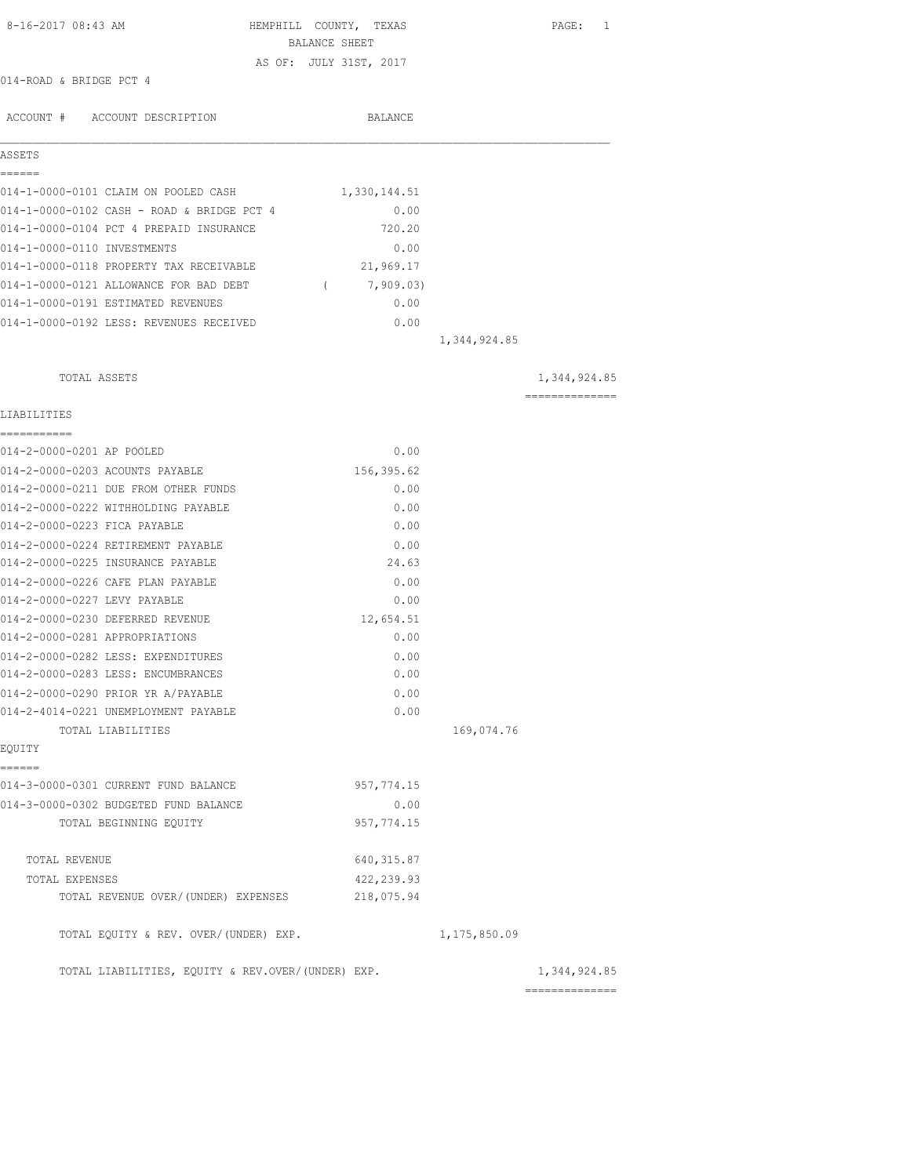| 8-16-2017 08:43 AM                                | HEMPHILL COUNTY, TEXAS | PAGE: 1                         |
|---------------------------------------------------|------------------------|---------------------------------|
|                                                   | BALANCE SHEET          |                                 |
| 014-ROAD & BRIDGE PCT 4                           | AS OF: JULY 31ST, 2017 |                                 |
|                                                   |                        |                                 |
| ACCOUNT # ACCOUNT DESCRIPTION                     | BALANCE                |                                 |
| ASSETS                                            |                        |                                 |
| EEEEEE                                            |                        |                                 |
| 014-1-0000-0101 CLAIM ON POOLED CASH              | 1,330,144.51           |                                 |
| 014-1-0000-0102 CASH - ROAD & BRIDGE PCT 4        | 0.00                   |                                 |
| 014-1-0000-0104 PCT 4 PREPAID INSURANCE           | 720.20                 |                                 |
| 014-1-0000-0110 INVESTMENTS                       | 0.00                   |                                 |
| 014-1-0000-0118 PROPERTY TAX RECEIVABLE           | 21,969.17              |                                 |
| 014-1-0000-0121 ALLOWANCE FOR BAD DEBT (7,909.03) |                        |                                 |
| 014-1-0000-0191 ESTIMATED REVENUES                | 0.00                   |                                 |
| 014-1-0000-0192 LESS: REVENUES RECEIVED           | 0.00                   | 1,344,924.85                    |
|                                                   |                        |                                 |
| TOTAL ASSETS                                      |                        | 1,344,924.85<br>=============== |
| LIABILITIES                                       |                        |                                 |
| ===========                                       |                        |                                 |
| 014-2-0000-0201 AP POOLED                         | 0.00                   |                                 |
| 014-2-0000-0203 ACOUNTS PAYABLE                   | 156,395.62             |                                 |
| 014-2-0000-0211 DUE FROM OTHER FUNDS              | 0.00                   |                                 |
| 014-2-0000-0222 WITHHOLDING PAYABLE               | 0.00                   |                                 |
| 014-2-0000-0223 FICA PAYABLE                      | 0.00                   |                                 |
| 014-2-0000-0224 RETIREMENT PAYABLE                | 0.00                   |                                 |
| 014-2-0000-0225 INSURANCE PAYABLE                 | 24.63                  |                                 |
| 014-2-0000-0226 CAFE PLAN PAYABLE                 | 0.00                   |                                 |
| 014-2-0000-0227 LEVY PAYABLE                      | 0.00                   |                                 |
| 014-2-0000-0230 DEFERRED REVENUE                  | 12,654.51              |                                 |
| 014-2-0000-0281 APPROPRIATIONS                    | 0.00                   |                                 |
| 014-2-0000-0282 LESS: EXPENDITURES                | 0.00                   |                                 |
| 014-2-0000-0283 LESS: ENCUMBRANCES                | 0.00                   |                                 |
| 014-2-0000-0290 PRIOR YR A/PAYABLE                | 0.00                   |                                 |
| 014-2-4014-0221 UNEMPLOYMENT PAYABLE              | 0.00                   |                                 |
| TOTAL LIABILITIES<br>EQUITY                       |                        | 169,074.76                      |
| ======                                            |                        |                                 |
| 014-3-0000-0301 CURRENT FUND BALANCE              | 957, 774.15            |                                 |
| 014-3-0000-0302 BUDGETED FUND BALANCE             | 0.00                   |                                 |
| TOTAL BEGINNING EQUITY                            | 957, 774.15            |                                 |
| TOTAL REVENUE                                     | 640, 315.87            |                                 |
| TOTAL EXPENSES                                    | 422,239.93             |                                 |
| TOTAL REVENUE OVER/(UNDER) EXPENSES               | 218,075.94             |                                 |
| TOTAL EQUITY & REV. OVER/(UNDER) EXP.             |                        | 1, 175, 850.09                  |
| TOTAL LIABILITIES, EQUITY & REV.OVER/(UNDER) EXP. |                        | 1,344,924.85                    |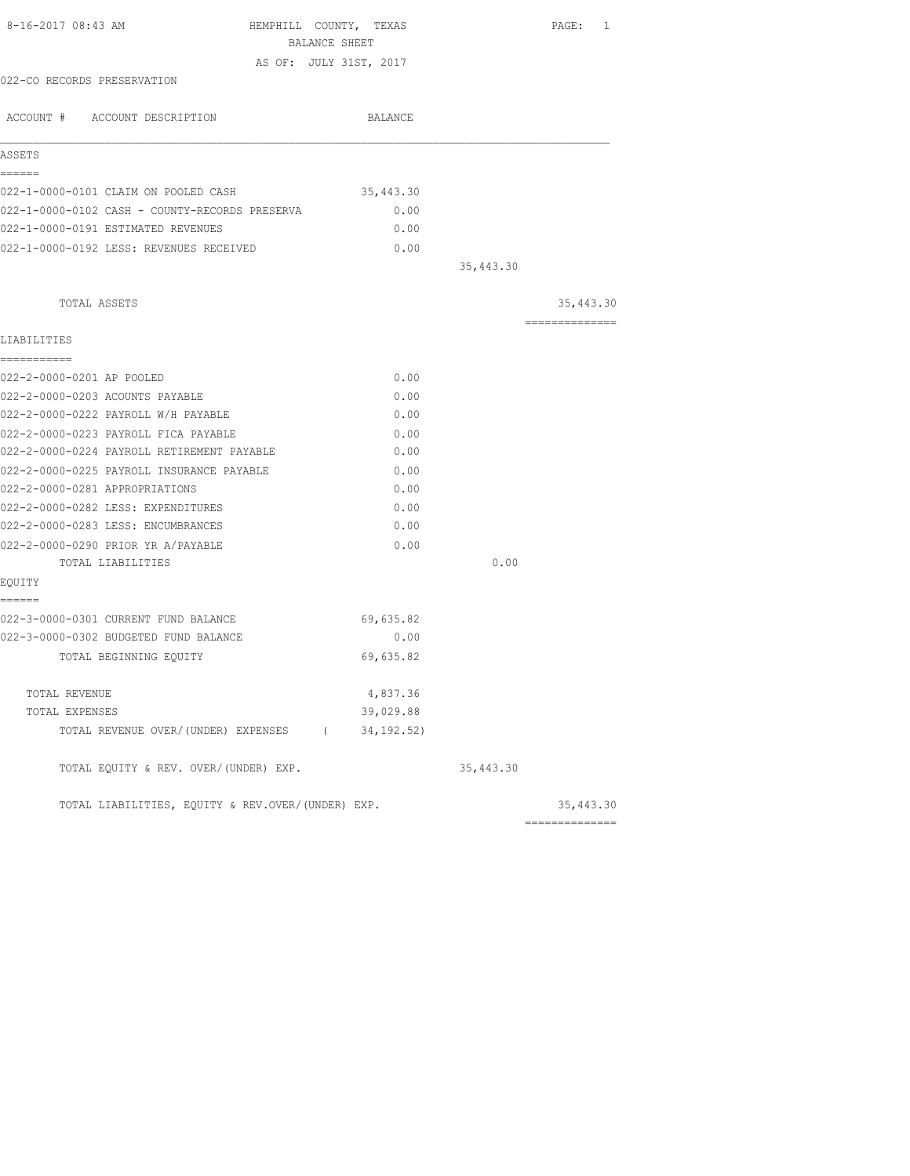| 8-16-2017 08:43 AM<br>HEMPHILL COUNTY, TEXAS<br>BALANCE SHEET |             |            | PAGE: 1         |
|---------------------------------------------------------------|-------------|------------|-----------------|
| AS OF: JULY 31ST, 2017                                        |             |            |                 |
| 022-CO RECORDS PRESERVATION                                   |             |            |                 |
| ACCOUNT # ACCOUNT DESCRIPTION                                 | BALANCE     |            |                 |
| ASSETS                                                        |             |            |                 |
| ------                                                        |             |            |                 |
| 022-1-0000-0101 CLAIM ON POOLED CASH                          | 35,443.30   |            |                 |
| 022-1-0000-0102 CASH - COUNTY-RECORDS PRESERVA                | 0.00        |            |                 |
| 022-1-0000-0191 ESTIMATED REVENUES                            | 0.00        |            |                 |
| 022-1-0000-0192 LESS: REVENUES RECEIVED                       | 0.00        |            |                 |
|                                                               |             | 35, 443.30 |                 |
| TOTAL ASSETS                                                  |             |            | 35,443.30       |
| LIABILITIES                                                   |             |            | =============== |
| ===========                                                   |             |            |                 |
| 022-2-0000-0201 AP POOLED                                     | 0.00        |            |                 |
| 022-2-0000-0203 ACOUNTS PAYABLE                               | 0.00        |            |                 |
| 022-2-0000-0222 PAYROLL W/H PAYABLE                           | 0.00        |            |                 |
| 022-2-0000-0223 PAYROLL FICA PAYABLE                          | 0.00        |            |                 |
| 022-2-0000-0224 PAYROLL RETIREMENT PAYABLE                    | 0.00        |            |                 |
| 022-2-0000-0225 PAYROLL INSURANCE PAYABLE                     | 0.00        |            |                 |
| 022-2-0000-0281 APPROPRIATIONS                                | 0.00        |            |                 |
| 022-2-0000-0282 LESS: EXPENDITURES                            | 0.00        |            |                 |
| 022-2-0000-0283 LESS: ENCUMBRANCES                            | 0.00        |            |                 |
| 022-2-0000-0290 PRIOR YR A/PAYABLE                            | 0.00        |            |                 |
| TOTAL LIABILITIES                                             |             | 0.00       |                 |
| EQUITY                                                        |             |            |                 |
| ======<br>022-3-0000-0301 CURRENT FUND BALANCE                | 69,635.82   |            |                 |
| 022-3-0000-0302 BUDGETED FUND BALANCE                         | 0.00        |            |                 |
| TOTAL BEGINNING EQUITY                                        | 69,635.82   |            |                 |
| TOTAL REVENUE                                                 | 4,837.36    |            |                 |
| TOTAL EXPENSES                                                | 39,029.88   |            |                 |
| TOTAL REVENUE OVER/(UNDER) EXPENSES (                         | 34, 192.52) |            |                 |
| TOTAL EQUITY & REV. OVER/(UNDER) EXP.                         |             | 35,443.30  |                 |
| TOTAL LIABILITIES, EOUITY & REV.OVER/(UNDER) EXP.             |             |            | 35,443.30       |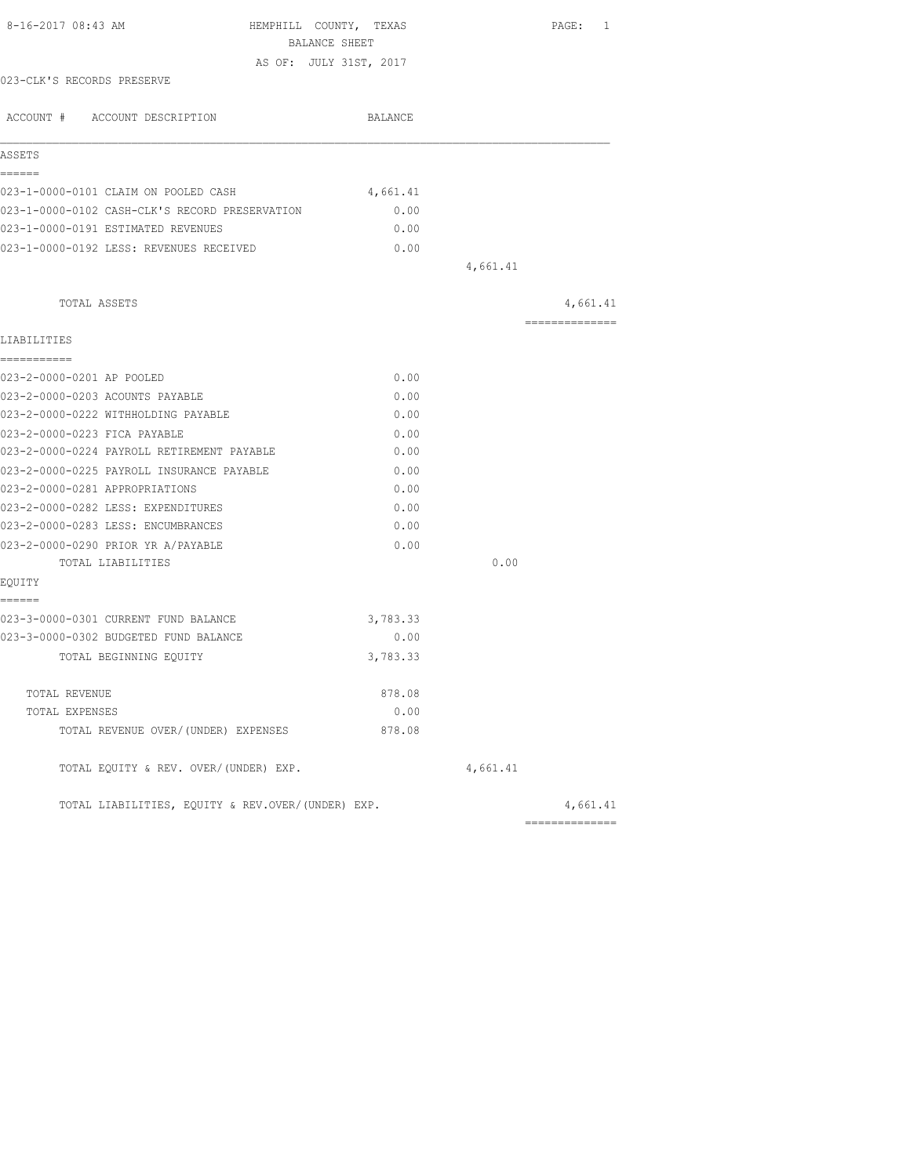| 8-16-2017 08:43 AM                                | HEMPHILL COUNTY, TEXAS<br>BALANCE SHEET |          | PAGE: 1        |
|---------------------------------------------------|-----------------------------------------|----------|----------------|
|                                                   | AS OF: JULY 31ST, 2017                  |          |                |
| 023-CLK'S RECORDS PRESERVE                        |                                         |          |                |
| ACCOUNT # ACCOUNT DESCRIPTION                     | BALANCE                                 |          |                |
| ASSETS                                            |                                         |          |                |
| ------                                            |                                         |          |                |
| 023-1-0000-0101 CLAIM ON POOLED CASH              | 4,661.41                                |          |                |
| 023-1-0000-0102 CASH-CLK'S RECORD PRESERVATION    | 0.00                                    |          |                |
| 023-1-0000-0191 ESTIMATED REVENUES                | 0.00                                    |          |                |
| 023-1-0000-0192 LESS: REVENUES RECEIVED           | 0.00                                    |          |                |
|                                                   |                                         | 4,661.41 |                |
| TOTAL ASSETS                                      |                                         |          | 4,661.41       |
| LIABILITIES                                       |                                         |          | -------------- |
| -----------                                       |                                         |          |                |
| 023-2-0000-0201 AP POOLED                         | 0.00                                    |          |                |
| 023-2-0000-0203 ACOUNTS PAYABLE                   | 0.00                                    |          |                |
| 023-2-0000-0222 WITHHOLDING PAYABLE               | 0.00                                    |          |                |
| 023-2-0000-0223 FICA PAYABLE                      | 0.00                                    |          |                |
| 023-2-0000-0224 PAYROLL RETIREMENT PAYABLE        | 0.00                                    |          |                |
| 023-2-0000-0225 PAYROLL INSURANCE PAYABLE         | 0.00                                    |          |                |
| 023-2-0000-0281 APPROPRIATIONS                    | 0.00                                    |          |                |
| 023-2-0000-0282 LESS: EXPENDITURES                | 0.00                                    |          |                |
| 023-2-0000-0283 LESS: ENCUMBRANCES                | 0.00                                    |          |                |
| 023-2-0000-0290 PRIOR YR A/PAYABLE                | 0.00                                    |          |                |
| TOTAL LIABILITIES                                 |                                         | 0.00     |                |
| EQUITY                                            |                                         |          |                |
| ======                                            |                                         |          |                |
| 023-3-0000-0301 CURRENT FUND BALANCE              | 3,783.33                                |          |                |
| 023-3-0000-0302 BUDGETED FUND BALANCE             | 0.00                                    |          |                |
| TOTAL BEGINNING EQUITY                            | 3,783.33                                |          |                |
| TOTAL REVENUE                                     | 878.08                                  |          |                |
| TOTAL EXPENSES                                    | 0.00                                    |          |                |
| TOTAL REVENUE OVER/(UNDER) EXPENSES               | 878.08                                  |          |                |
| TOTAL EQUITY & REV. OVER/(UNDER) EXP.             |                                         | 4,661.41 |                |
| TOTAL LIABILITIES, EQUITY & REV.OVER/(UNDER) EXP. |                                         |          | 4,661.41       |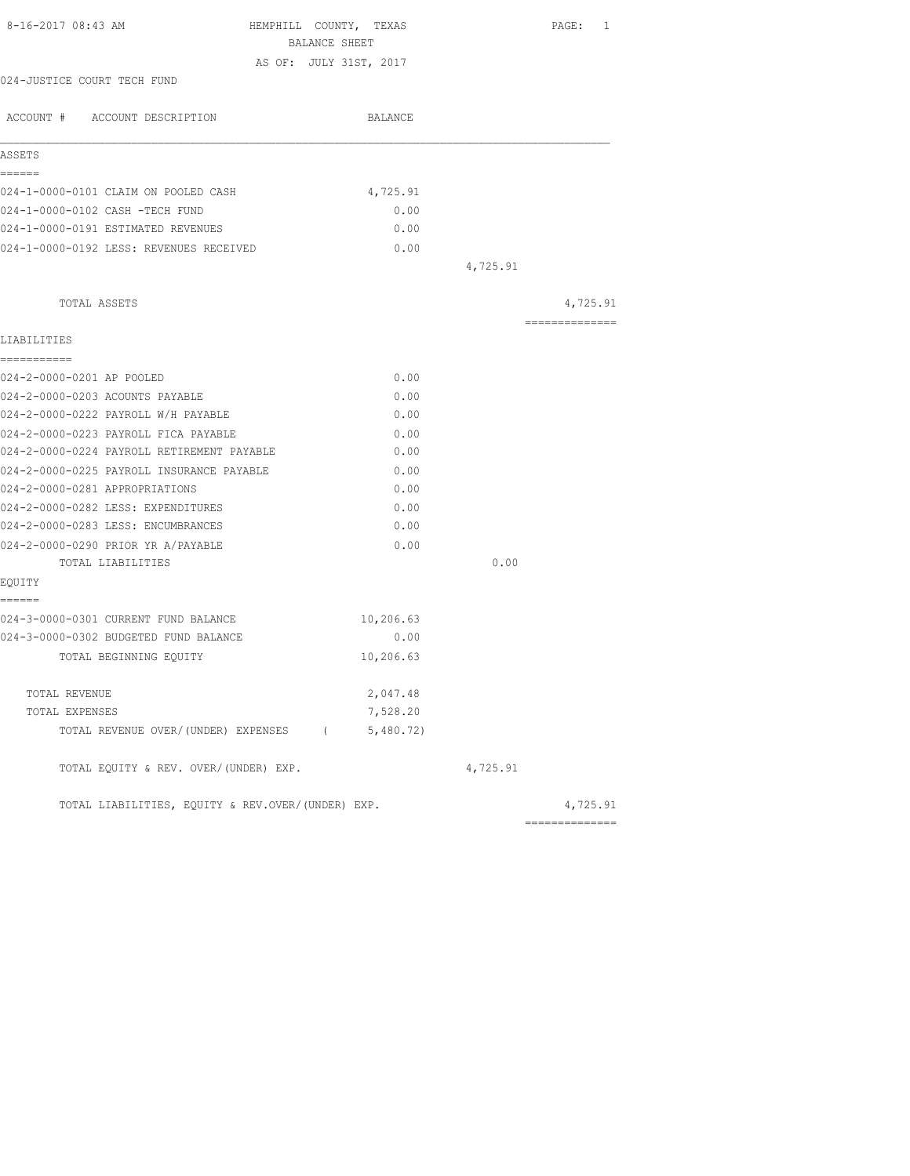| BALANCE SHEET<br>AS OF: JULY 31ST, 2017<br>024-JUSTICE COURT TECH FUND<br>ACCOUNT # ACCOUNT DESCRIPTION<br>BALANCE<br>ASSETS<br>------<br>024-1-0000-0101 CLAIM ON POOLED CASH<br>4,725.91<br>024-1-0000-0102 CASH -TECH FUND<br>0.00<br>024-1-0000-0191 ESTIMATED REVENUES<br>0.00<br>024-1-0000-0192 LESS: REVENUES RECEIVED<br>0.00<br>4,725.91<br>TOTAL ASSETS<br>---------------<br>LIABILITIES<br>-----------<br>024-2-0000-0201 AP POOLED<br>0.00<br>024-2-0000-0203 ACOUNTS PAYABLE<br>0.00<br>024-2-0000-0222 PAYROLL W/H PAYABLE<br>0.00<br>024-2-0000-0223 PAYROLL FICA PAYABLE<br>0.00<br>024-2-0000-0224 PAYROLL RETIREMENT PAYABLE<br>0.00<br>024-2-0000-0225 PAYROLL INSURANCE PAYABLE<br>0.00<br>024-2-0000-0281 APPROPRIATIONS<br>0.00 |          |
|---------------------------------------------------------------------------------------------------------------------------------------------------------------------------------------------------------------------------------------------------------------------------------------------------------------------------------------------------------------------------------------------------------------------------------------------------------------------------------------------------------------------------------------------------------------------------------------------------------------------------------------------------------------------------------------------------------------------------------------------------------|----------|
|                                                                                                                                                                                                                                                                                                                                                                                                                                                                                                                                                                                                                                                                                                                                                         |          |
|                                                                                                                                                                                                                                                                                                                                                                                                                                                                                                                                                                                                                                                                                                                                                         |          |
|                                                                                                                                                                                                                                                                                                                                                                                                                                                                                                                                                                                                                                                                                                                                                         |          |
|                                                                                                                                                                                                                                                                                                                                                                                                                                                                                                                                                                                                                                                                                                                                                         |          |
|                                                                                                                                                                                                                                                                                                                                                                                                                                                                                                                                                                                                                                                                                                                                                         |          |
|                                                                                                                                                                                                                                                                                                                                                                                                                                                                                                                                                                                                                                                                                                                                                         |          |
|                                                                                                                                                                                                                                                                                                                                                                                                                                                                                                                                                                                                                                                                                                                                                         |          |
|                                                                                                                                                                                                                                                                                                                                                                                                                                                                                                                                                                                                                                                                                                                                                         |          |
|                                                                                                                                                                                                                                                                                                                                                                                                                                                                                                                                                                                                                                                                                                                                                         |          |
|                                                                                                                                                                                                                                                                                                                                                                                                                                                                                                                                                                                                                                                                                                                                                         |          |
|                                                                                                                                                                                                                                                                                                                                                                                                                                                                                                                                                                                                                                                                                                                                                         | 4,725.91 |
|                                                                                                                                                                                                                                                                                                                                                                                                                                                                                                                                                                                                                                                                                                                                                         |          |
|                                                                                                                                                                                                                                                                                                                                                                                                                                                                                                                                                                                                                                                                                                                                                         |          |
|                                                                                                                                                                                                                                                                                                                                                                                                                                                                                                                                                                                                                                                                                                                                                         |          |
|                                                                                                                                                                                                                                                                                                                                                                                                                                                                                                                                                                                                                                                                                                                                                         |          |
|                                                                                                                                                                                                                                                                                                                                                                                                                                                                                                                                                                                                                                                                                                                                                         |          |
|                                                                                                                                                                                                                                                                                                                                                                                                                                                                                                                                                                                                                                                                                                                                                         |          |
|                                                                                                                                                                                                                                                                                                                                                                                                                                                                                                                                                                                                                                                                                                                                                         |          |
|                                                                                                                                                                                                                                                                                                                                                                                                                                                                                                                                                                                                                                                                                                                                                         |          |
|                                                                                                                                                                                                                                                                                                                                                                                                                                                                                                                                                                                                                                                                                                                                                         |          |
| 024-2-0000-0282 LESS: EXPENDITURES<br>0.00                                                                                                                                                                                                                                                                                                                                                                                                                                                                                                                                                                                                                                                                                                              |          |
| 024-2-0000-0283 LESS: ENCUMBRANCES<br>0.00                                                                                                                                                                                                                                                                                                                                                                                                                                                                                                                                                                                                                                                                                                              |          |
| 024-2-0000-0290 PRIOR YR A/PAYABLE<br>0.00                                                                                                                                                                                                                                                                                                                                                                                                                                                                                                                                                                                                                                                                                                              |          |
| 0.00<br>TOTAL LIABILITIES                                                                                                                                                                                                                                                                                                                                                                                                                                                                                                                                                                                                                                                                                                                               |          |
| EQUITY                                                                                                                                                                                                                                                                                                                                                                                                                                                                                                                                                                                                                                                                                                                                                  |          |
| ======<br>024-3-0000-0301 CURRENT FUND BALANCE<br>10,206.63                                                                                                                                                                                                                                                                                                                                                                                                                                                                                                                                                                                                                                                                                             |          |
| 024-3-0000-0302 BUDGETED FUND BALANCE<br>0.00                                                                                                                                                                                                                                                                                                                                                                                                                                                                                                                                                                                                                                                                                                           |          |
| 10,206.63<br>TOTAL BEGINNING EQUITY                                                                                                                                                                                                                                                                                                                                                                                                                                                                                                                                                                                                                                                                                                                     |          |
| 2,047.48<br>TOTAL REVENUE                                                                                                                                                                                                                                                                                                                                                                                                                                                                                                                                                                                                                                                                                                                               |          |
| 7,528.20<br>TOTAL EXPENSES                                                                                                                                                                                                                                                                                                                                                                                                                                                                                                                                                                                                                                                                                                                              |          |
| 5,480.72)<br>TOTAL REVENUE OVER/(UNDER) EXPENSES (                                                                                                                                                                                                                                                                                                                                                                                                                                                                                                                                                                                                                                                                                                      |          |
| TOTAL EQUITY & REV. OVER/(UNDER) EXP.<br>4,725.91                                                                                                                                                                                                                                                                                                                                                                                                                                                                                                                                                                                                                                                                                                       |          |
| TOTAL LIABILITIES, EQUITY & REV.OVER/(UNDER) EXP.                                                                                                                                                                                                                                                                                                                                                                                                                                                                                                                                                                                                                                                                                                       | 4,725.91 |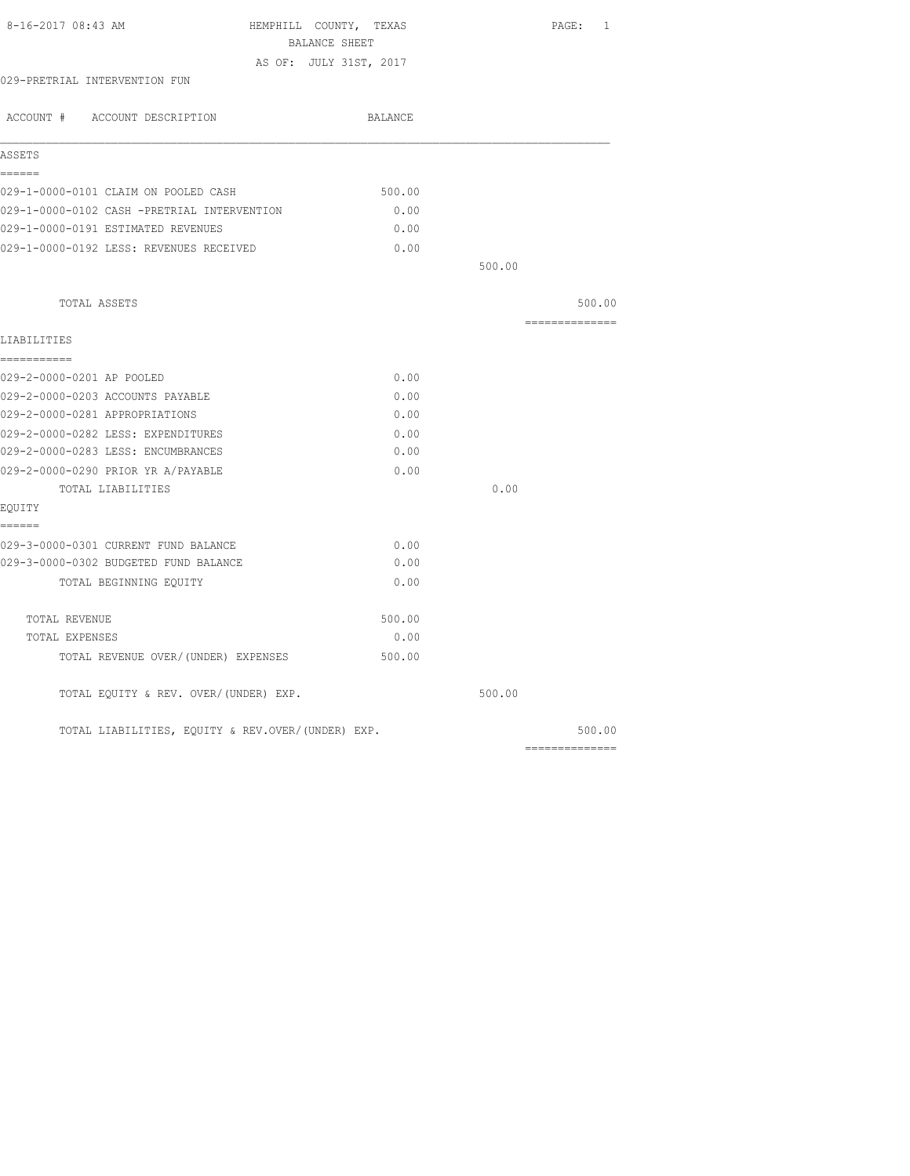| 8-16-2017 08:43 AM                                | HEMPHILL COUNTY, TEXAS<br>BALANCE SHEET | PAGE: 1        |
|---------------------------------------------------|-----------------------------------------|----------------|
|                                                   | AS OF: JULY 31ST, 2017                  |                |
| 029-PRETRIAL INTERVENTION FUN                     |                                         |                |
| ACCOUNT # ACCOUNT DESCRIPTION                     | BALANCE                                 |                |
| ASSETS                                            |                                         |                |
| ======<br>029-1-0000-0101 CLAIM ON POOLED CASH    | 500.00                                  |                |
| 029-1-0000-0102 CASH -PRETRIAL INTERVENTION       | 0.00                                    |                |
| 029-1-0000-0191 ESTIMATED REVENUES                | 0.00                                    |                |
| 029-1-0000-0192 LESS: REVENUES RECEIVED           | 0.00                                    |                |
|                                                   |                                         | 500.00         |
| TOTAL ASSETS                                      |                                         | 500.00         |
| LIABILITIES                                       |                                         | ============== |
| ===========<br>029-2-0000-0201 AP POOLED          | 0.00                                    |                |
| 029-2-0000-0203 ACCOUNTS PAYABLE                  | 0.00                                    |                |
| 029-2-0000-0281 APPROPRIATIONS                    | 0.00                                    |                |
| 029-2-0000-0282 LESS: EXPENDITURES                | 0.00                                    |                |
| 029-2-0000-0283 LESS: ENCUMBRANCES                | 0.00                                    |                |
| 029-2-0000-0290 PRIOR YR A/PAYABLE                | 0.00                                    |                |
| TOTAL LIABILITIES<br>EQUITY                       |                                         | 0.00           |
| ======                                            |                                         |                |
| 029-3-0000-0301 CURRENT FUND BALANCE              | 0.00                                    |                |
| 029-3-0000-0302 BUDGETED FUND BALANCE             | 0.00                                    |                |
| TOTAL BEGINNING EQUITY                            | 0.00                                    |                |
| TOTAL REVENUE                                     | 500.00                                  |                |
| TOTAL EXPENSES                                    | 0.00                                    |                |
| TOTAL REVENUE OVER/(UNDER) EXPENSES               | 500.00                                  |                |
| TOTAL EQUITY & REV. OVER/(UNDER) EXP.             |                                         | 500.00         |
| TOTAL LIABILITIES, EQUITY & REV.OVER/(UNDER) EXP. |                                         | 500.00         |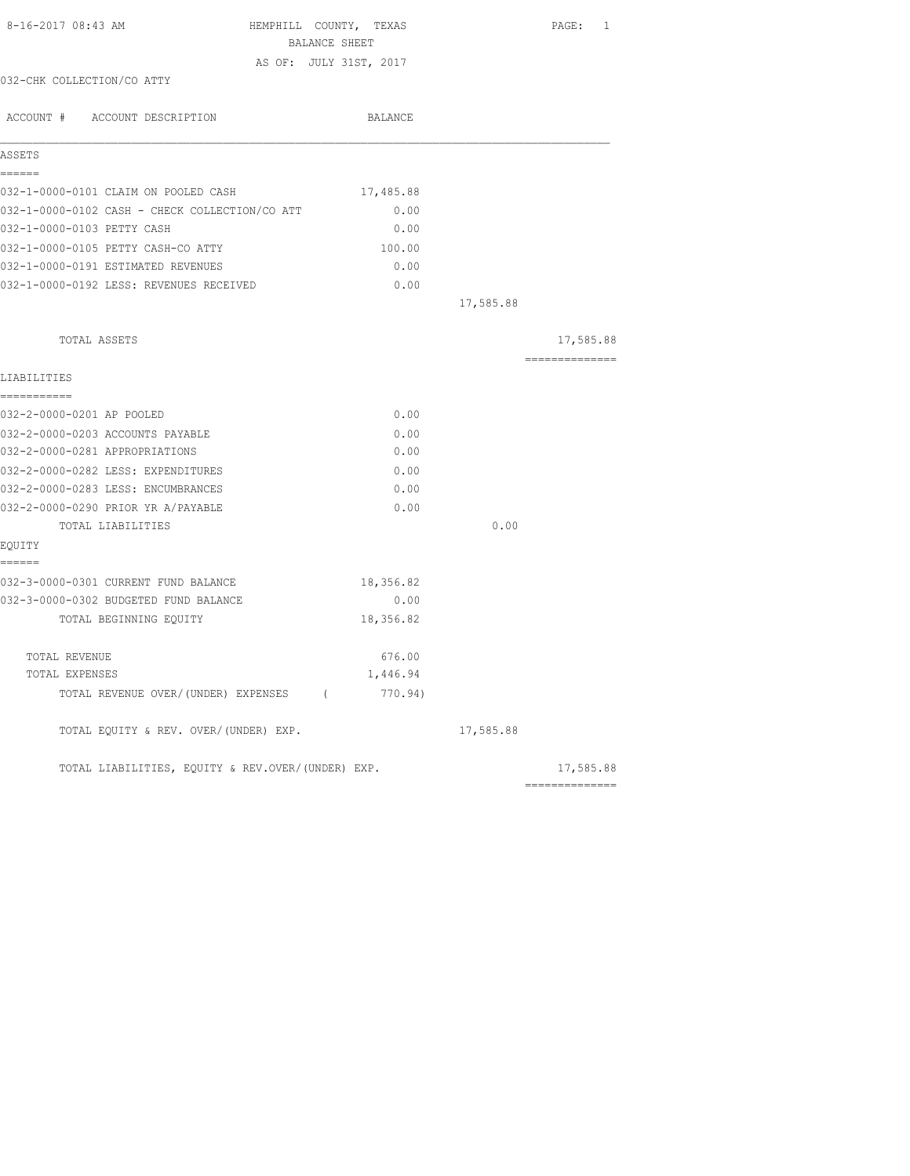| 8-16-2017 08:43 AM                                | HEMPHILL COUNTY, TEXAS<br>BALANCE SHEET |           | PAGE: 1        |
|---------------------------------------------------|-----------------------------------------|-----------|----------------|
|                                                   | AS OF: JULY 31ST, 2017                  |           |                |
| 032-CHK COLLECTION/CO ATTY                        |                                         |           |                |
| ACCOUNT # ACCOUNT DESCRIPTION                     | BALANCE                                 |           |                |
| ASSETS                                            |                                         |           |                |
| ======<br>032-1-0000-0101 CLAIM ON POOLED CASH    | 17,485.88                               |           |                |
| 032-1-0000-0102 CASH - CHECK COLLECTION/CO ATT    | 0.00                                    |           |                |
| 032-1-0000-0103 PETTY CASH                        | 0.00                                    |           |                |
| 032-1-0000-0105 PETTY CASH-CO ATTY                | 100.00                                  |           |                |
| 032-1-0000-0191 ESTIMATED REVENUES                | 0.00                                    |           |                |
| 032-1-0000-0192 LESS: REVENUES RECEIVED           | 0.00                                    |           |                |
|                                                   |                                         | 17,585.88 |                |
| TOTAL ASSETS                                      |                                         |           | 17,585.88      |
| LIABILITIES                                       |                                         |           | -------------- |
| -----------<br>032-2-0000-0201 AP POOLED          | 0.00                                    |           |                |
| 032-2-0000-0203 ACCOUNTS PAYABLE                  | 0.00                                    |           |                |
| 032-2-0000-0281 APPROPRIATIONS                    | 0.00                                    |           |                |
| 032-2-0000-0282 LESS: EXPENDITURES                | 0.00                                    |           |                |
| 032-2-0000-0283 LESS: ENCUMBRANCES                | 0.00                                    |           |                |
| 032-2-0000-0290 PRIOR YR A/PAYABLE                | 0.00                                    |           |                |
| TOTAL LIABILITIES                                 |                                         | 0.00      |                |
| EQUITY<br>======                                  |                                         |           |                |
| 032-3-0000-0301 CURRENT FUND BALANCE              | 18,356.82                               |           |                |
| 032-3-0000-0302 BUDGETED FUND BALANCE             | 0.00                                    |           |                |
| TOTAL BEGINNING EQUITY                            | 18,356.82                               |           |                |
| TOTAL REVENUE                                     | 676.00                                  |           |                |
| TOTAL EXPENSES                                    | 1,446.94                                |           |                |
| TOTAL REVENUE OVER/(UNDER) EXPENSES (             | 770.94)                                 |           |                |
| TOTAL EQUITY & REV. OVER/(UNDER) EXP.             |                                         | 17,585.88 |                |
| TOTAL LIABILITIES, EQUITY & REV.OVER/(UNDER) EXP. |                                         |           | 17,585.88      |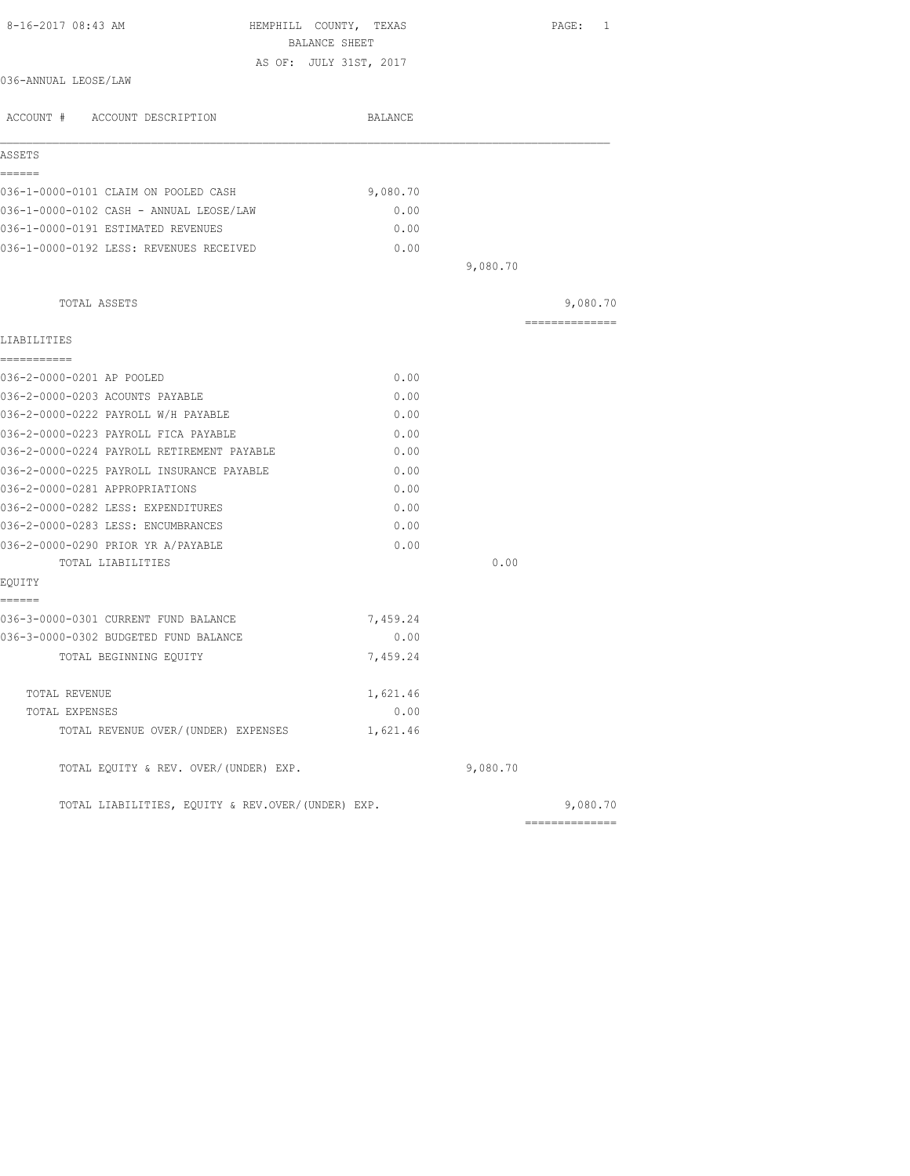| 8-16-2017 08:43 AM<br>HEMPHILL COUNTY, TEXAS<br>BALANCE SHEET |          |          | $\mathtt{PAGE}$ :<br>1 |
|---------------------------------------------------------------|----------|----------|------------------------|
|                                                               |          |          |                        |
| AS OF: JULY 31ST, 2017<br>036-ANNUAL LEOSE/LAW                |          |          |                        |
| ACCOUNT # ACCOUNT DESCRIPTION                                 | BALANCE  |          |                        |
| ASSETS                                                        |          |          |                        |
| ======                                                        |          |          |                        |
| 036-1-0000-0101 CLAIM ON POOLED CASH                          | 9,080.70 |          |                        |
| 036-1-0000-0102 CASH - ANNUAL LEOSE/LAW                       | 0.00     |          |                        |
| 036-1-0000-0191 ESTIMATED REVENUES                            | 0.00     |          |                        |
| 036-1-0000-0192 LESS: REVENUES RECEIVED                       | 0.00     |          |                        |
|                                                               |          | 9,080.70 |                        |
| TOTAL ASSETS                                                  |          |          | 9,080.70               |
| LIABILITIES                                                   |          |          | ==============         |
| ===========<br>036-2-0000-0201 AP POOLED                      | 0.00     |          |                        |
| 036-2-0000-0203 ACOUNTS PAYABLE                               | 0.00     |          |                        |
| 036-2-0000-0222 PAYROLL W/H PAYABLE                           | 0.00     |          |                        |
| 036-2-0000-0223 PAYROLL FICA PAYABLE                          | 0.00     |          |                        |
| 036-2-0000-0224 PAYROLL RETIREMENT PAYABLE                    | 0.00     |          |                        |
| 036-2-0000-0225 PAYROLL INSURANCE PAYABLE                     | 0.00     |          |                        |
| 036-2-0000-0281 APPROPRIATIONS                                | 0.00     |          |                        |
| 036-2-0000-0282 LESS: EXPENDITURES                            | 0.00     |          |                        |
| 036-2-0000-0283 LESS: ENCUMBRANCES                            | 0.00     |          |                        |
| 036-2-0000-0290 PRIOR YR A/PAYABLE                            | 0.00     |          |                        |
| TOTAL LIABILITIES                                             |          | 0.00     |                        |
| EQUITY<br>======                                              |          |          |                        |
| 036-3-0000-0301 CURRENT FUND BALANCE                          | 7,459.24 |          |                        |
| 036-3-0000-0302 BUDGETED FUND BALANCE                         | 0.00     |          |                        |
| TOTAL BEGINNING EQUITY                                        | 7,459.24 |          |                        |
| TOTAL REVENUE                                                 | 1,621.46 |          |                        |
| TOTAL EXPENSES                                                | 0.00     |          |                        |
| TOTAL REVENUE OVER/(UNDER) EXPENSES                           | 1,621.46 |          |                        |
| TOTAL EQUITY & REV. OVER/(UNDER) EXP.                         |          | 9,080.70 |                        |
| TOTAL LIABILITIES, EOUITY & REV.OVER/(UNDER) EXP.             |          |          | 9,080.70               |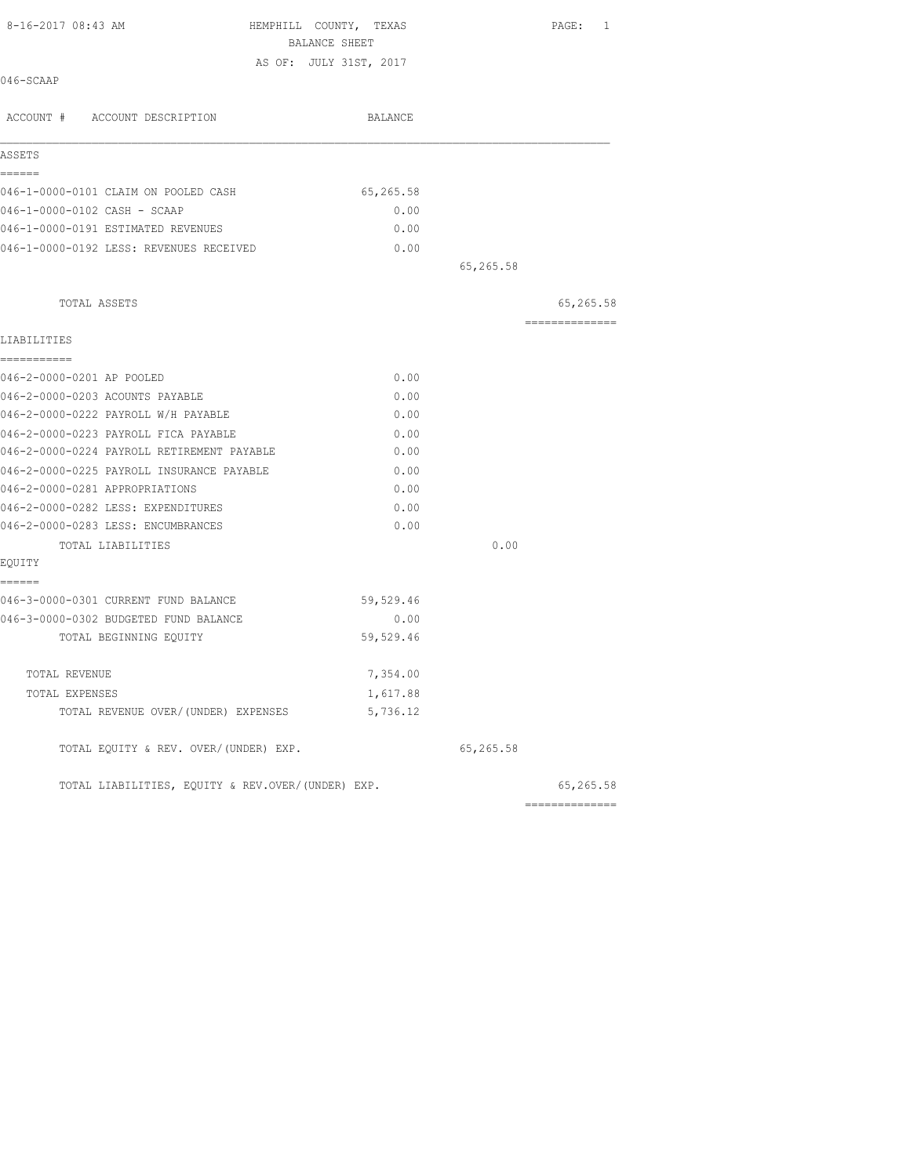| 8-16-2017 08:43 AM                                | HEMPHILL COUNTY, TEXAS                  |           | PAGE: 1         |
|---------------------------------------------------|-----------------------------------------|-----------|-----------------|
|                                                   | BALANCE SHEET<br>AS OF: JULY 31ST, 2017 |           |                 |
| 046-SCAAP                                         |                                         |           |                 |
| ACCOUNT # ACCOUNT DESCRIPTION                     | BALANCE                                 |           |                 |
| ASSETS                                            |                                         |           |                 |
| ------                                            |                                         |           |                 |
| 046-1-0000-0101 CLAIM ON POOLED CASH              | 65,265.58                               |           |                 |
| 046-1-0000-0102 CASH - SCAAP                      | 0.00                                    |           |                 |
| 046-1-0000-0191 ESTIMATED REVENUES                | 0.00                                    |           |                 |
| 046-1-0000-0192 LESS: REVENUES RECEIVED           | 0.00                                    | 65,265.58 |                 |
|                                                   |                                         |           |                 |
| TOTAL ASSETS                                      |                                         |           | 65,265.58       |
|                                                   |                                         |           | ==============  |
| LIABILITIES                                       |                                         |           |                 |
| -----------<br>046-2-0000-0201 AP POOLED          | 0.00                                    |           |                 |
| 046-2-0000-0203 ACOUNTS PAYABLE                   | 0.00                                    |           |                 |
| 046-2-0000-0222 PAYROLL W/H PAYABLE               | 0.00                                    |           |                 |
| 046-2-0000-0223 PAYROLL FICA PAYABLE              | 0.00                                    |           |                 |
| 046-2-0000-0224 PAYROLL RETIREMENT PAYABLE        | 0.00                                    |           |                 |
| 046-2-0000-0225 PAYROLL INSURANCE PAYABLE         | 0.00                                    |           |                 |
| 046-2-0000-0281 APPROPRIATIONS                    | 0.00                                    |           |                 |
| 046-2-0000-0282 LESS: EXPENDITURES                | 0.00                                    |           |                 |
| 046-2-0000-0283 LESS: ENCUMBRANCES                | 0.00                                    |           |                 |
| TOTAL LIABILITIES                                 |                                         | 0.00      |                 |
| EQUITY                                            |                                         |           |                 |
| ======                                            |                                         |           |                 |
| 046-3-0000-0301 CURRENT FUND BALANCE              | 59,529.46                               |           |                 |
| 046-3-0000-0302 BUDGETED FUND BALANCE             | 0.00                                    |           |                 |
| TOTAL BEGINNING EOUITY                            | 59,529.46                               |           |                 |
| TOTAL REVENUE                                     | 7,354.00                                |           |                 |
| TOTAL EXPENSES                                    | 1,617.88                                |           |                 |
| TOTAL REVENUE OVER/(UNDER) EXPENSES               | 5,736.12                                |           |                 |
| TOTAL EQUITY & REV. OVER/(UNDER) EXP.             |                                         | 65,265.58 |                 |
| TOTAL LIABILITIES, EQUITY & REV.OVER/(UNDER) EXP. |                                         |           | 65,265.58       |
|                                                   |                                         |           | --------------- |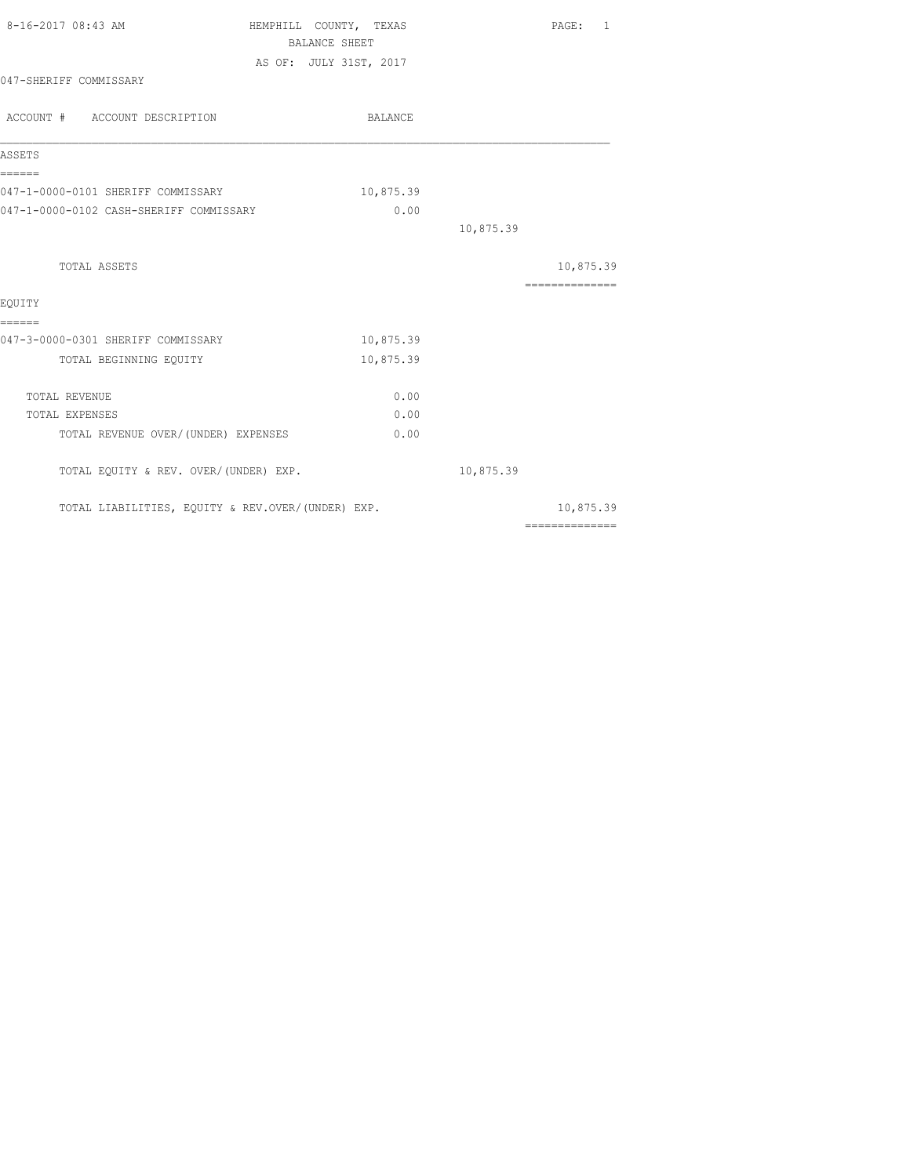| 8-16-2017 08:43 AM                                | HEMPHILL COUNTY, TEXAS |           |           | PAGE: 1                                                                                                                                                                                                                                                                                                                                                                                                                                                                                |  |
|---------------------------------------------------|------------------------|-----------|-----------|----------------------------------------------------------------------------------------------------------------------------------------------------------------------------------------------------------------------------------------------------------------------------------------------------------------------------------------------------------------------------------------------------------------------------------------------------------------------------------------|--|
|                                                   | <b>BALANCE SHEET</b>   |           |           |                                                                                                                                                                                                                                                                                                                                                                                                                                                                                        |  |
|                                                   | AS OF: JULY 31ST, 2017 |           |           |                                                                                                                                                                                                                                                                                                                                                                                                                                                                                        |  |
| 047-SHERIFF COMMISSARY                            |                        |           |           |                                                                                                                                                                                                                                                                                                                                                                                                                                                                                        |  |
| ACCOUNT # ACCOUNT DESCRIPTION                     |                        | BALANCE   |           |                                                                                                                                                                                                                                                                                                                                                                                                                                                                                        |  |
| ASSETS                                            |                        |           |           |                                                                                                                                                                                                                                                                                                                                                                                                                                                                                        |  |
| ------<br>047-1-0000-0101 SHERIFF COMMISSARY      |                        | 10,875.39 |           |                                                                                                                                                                                                                                                                                                                                                                                                                                                                                        |  |
| 047-1-0000-0102 CASH-SHERIFF COMMISSARY           |                        | 0.00      |           |                                                                                                                                                                                                                                                                                                                                                                                                                                                                                        |  |
|                                                   |                        |           | 10,875.39 |                                                                                                                                                                                                                                                                                                                                                                                                                                                                                        |  |
| TOTAL ASSETS                                      |                        |           |           | 10,875.39                                                                                                                                                                                                                                                                                                                                                                                                                                                                              |  |
|                                                   |                        |           |           | $\begin{array}{cccccccccc} \multicolumn{2}{c}{} & \multicolumn{2}{c}{} & \multicolumn{2}{c}{} & \multicolumn{2}{c}{} & \multicolumn{2}{c}{} & \multicolumn{2}{c}{} & \multicolumn{2}{c}{} & \multicolumn{2}{c}{} & \multicolumn{2}{c}{} & \multicolumn{2}{c}{} & \multicolumn{2}{c}{} & \multicolumn{2}{c}{} & \multicolumn{2}{c}{} & \multicolumn{2}{c}{} & \multicolumn{2}{c}{} & \multicolumn{2}{c}{} & \multicolumn{2}{c}{} & \multicolumn{2}{c}{} & \multicolumn{2}{c}{} & \mult$ |  |
| EQUITY                                            |                        |           |           |                                                                                                                                                                                                                                                                                                                                                                                                                                                                                        |  |
| ======                                            |                        |           |           |                                                                                                                                                                                                                                                                                                                                                                                                                                                                                        |  |
| 047-3-0000-0301 SHERIFF COMMISSARY                |                        | 10,875.39 |           |                                                                                                                                                                                                                                                                                                                                                                                                                                                                                        |  |
| TOTAL BEGINNING EQUITY                            |                        | 10,875.39 |           |                                                                                                                                                                                                                                                                                                                                                                                                                                                                                        |  |
| TOTAL REVENUE                                     |                        | 0.00      |           |                                                                                                                                                                                                                                                                                                                                                                                                                                                                                        |  |
| TOTAL EXPENSES                                    |                        | 0.00      |           |                                                                                                                                                                                                                                                                                                                                                                                                                                                                                        |  |
| TOTAL REVENUE OVER/(UNDER) EXPENSES               |                        | 0.00      |           |                                                                                                                                                                                                                                                                                                                                                                                                                                                                                        |  |
| TOTAL EQUITY & REV. OVER/(UNDER) EXP.             |                        |           | 10,875.39 |                                                                                                                                                                                                                                                                                                                                                                                                                                                                                        |  |
| TOTAL LIABILITIES, EQUITY & REV.OVER/(UNDER) EXP. |                        |           |           | 10,875.39                                                                                                                                                                                                                                                                                                                                                                                                                                                                              |  |
|                                                   |                        |           |           | ==============                                                                                                                                                                                                                                                                                                                                                                                                                                                                         |  |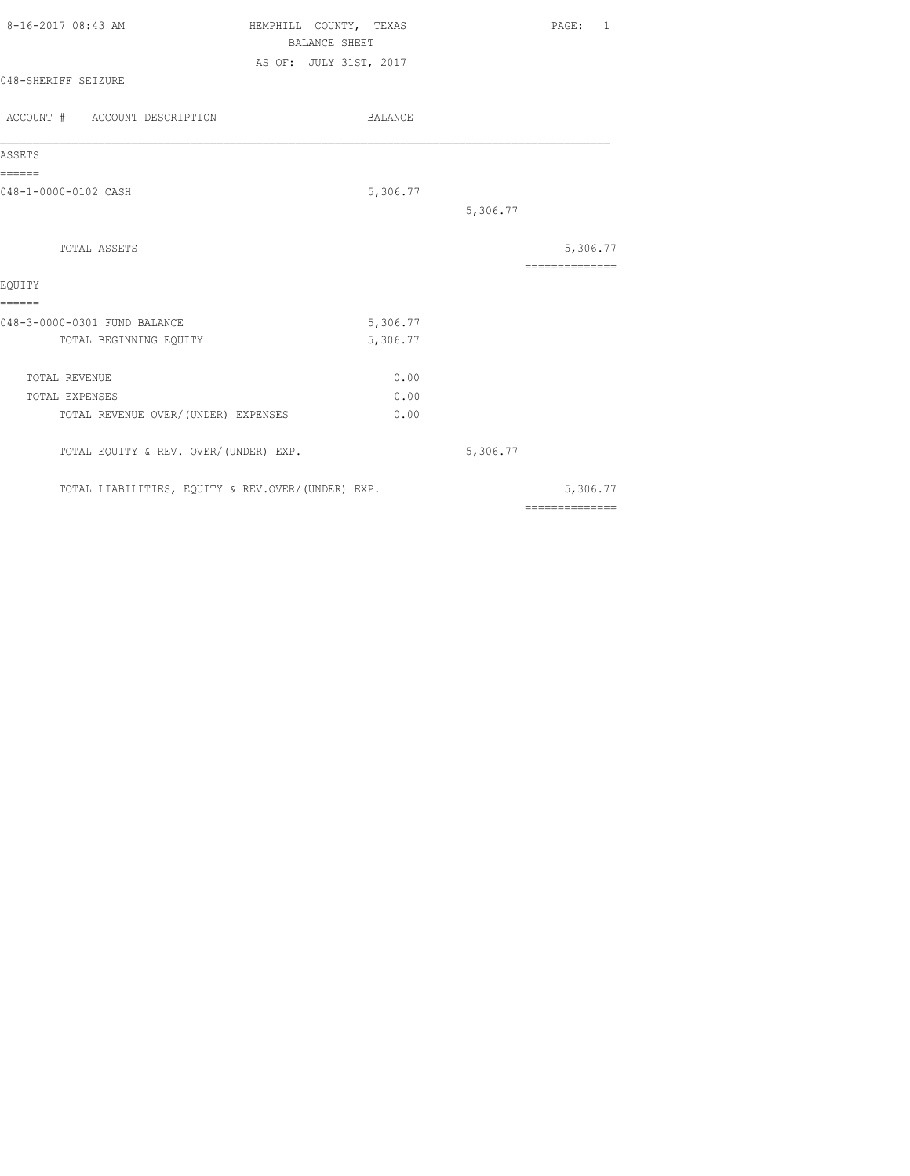| 8-16-2017 08:43 AM                     | HEMPHILL COUNTY, TEXAS<br><b>BALANCE SHEET</b> | PAGE: 1         |
|----------------------------------------|------------------------------------------------|-----------------|
|                                        |                                                |                 |
| 048-SHERIFF SEIZURE                    | AS OF: JULY 31ST, 2017                         |                 |
| ACCOUNT # ACCOUNT DESCRIPTION          | BALANCE                                        |                 |
| ASSETS                                 |                                                |                 |
| ======<br>048-1-0000-0102 CASH         | 5,306.77                                       |                 |
|                                        |                                                | 5,306.77        |
| TOTAL ASSETS                           |                                                | 5,306.77        |
| EQUITY                                 |                                                | --------------- |
|                                        |                                                |                 |
|                                        |                                                |                 |
| ======<br>048-3-0000-0301 FUND BALANCE | 5,306.77                                       |                 |
| TOTAL BEGINNING EQUITY                 | 5,306.77                                       |                 |
| TOTAL REVENUE                          | 0.00                                           |                 |
| TOTAL EXPENSES                         | 0.00                                           |                 |
| TOTAL REVENUE OVER/(UNDER) EXPENSES    | 0.00                                           |                 |

TOTAL LIABILITIES, EQUITY & REV.OVER/(UNDER) EXP. 5,306.77

==============